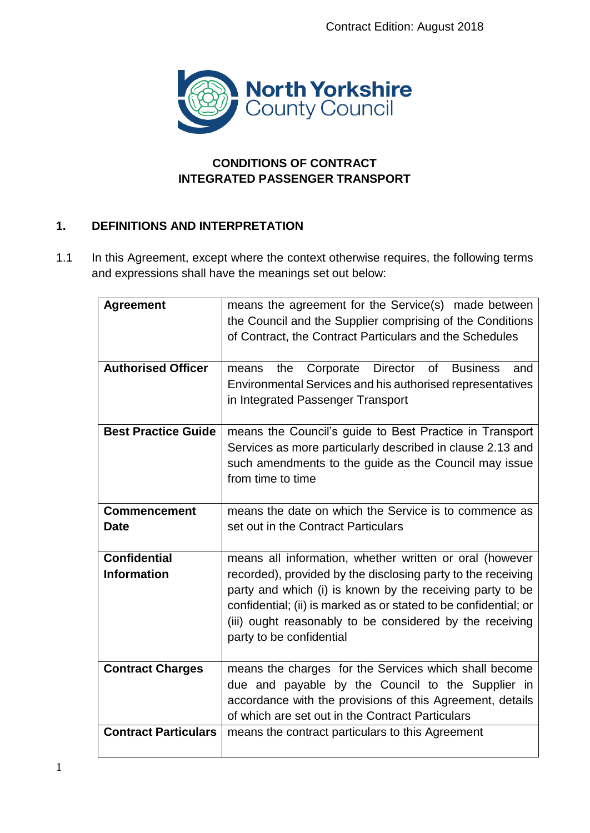

## **CONDITIONS OF CONTRACT INTEGRATED PASSENGER TRANSPORT**

## **1. DEFINITIONS AND INTERPRETATION**

1.1 In this Agreement, except where the context otherwise requires, the following terms and expressions shall have the meanings set out below:

| <b>Agreement</b>                          | means the agreement for the Service(s) made between<br>the Council and the Supplier comprising of the Conditions<br>of Contract, the Contract Particulars and the Schedules                                                                                                                                                                      |  |  |
|-------------------------------------------|--------------------------------------------------------------------------------------------------------------------------------------------------------------------------------------------------------------------------------------------------------------------------------------------------------------------------------------------------|--|--|
| <b>Authorised Officer</b>                 | the Corporate Director of Business<br>and<br>means<br>Environmental Services and his authorised representatives<br>in Integrated Passenger Transport                                                                                                                                                                                             |  |  |
| <b>Best Practice Guide</b>                | means the Council's guide to Best Practice in Transport<br>Services as more particularly described in clause 2.13 and<br>such amendments to the guide as the Council may issue<br>from time to time                                                                                                                                              |  |  |
| <b>Commencement</b><br><b>Date</b>        | means the date on which the Service is to commence as<br>set out in the Contract Particulars                                                                                                                                                                                                                                                     |  |  |
| <b>Confidential</b><br><b>Information</b> | means all information, whether written or oral (however<br>recorded), provided by the disclosing party to the receiving<br>party and which (i) is known by the receiving party to be<br>confidential; (ii) is marked as or stated to be confidential; or<br>(iii) ought reasonably to be considered by the receiving<br>party to be confidential |  |  |
| <b>Contract Charges</b>                   | means the charges for the Services which shall become<br>due and payable by the Council to the Supplier in<br>accordance with the provisions of this Agreement, details<br>of which are set out in the Contract Particulars                                                                                                                      |  |  |
| <b>Contract Particulars</b>               | means the contract particulars to this Agreement                                                                                                                                                                                                                                                                                                 |  |  |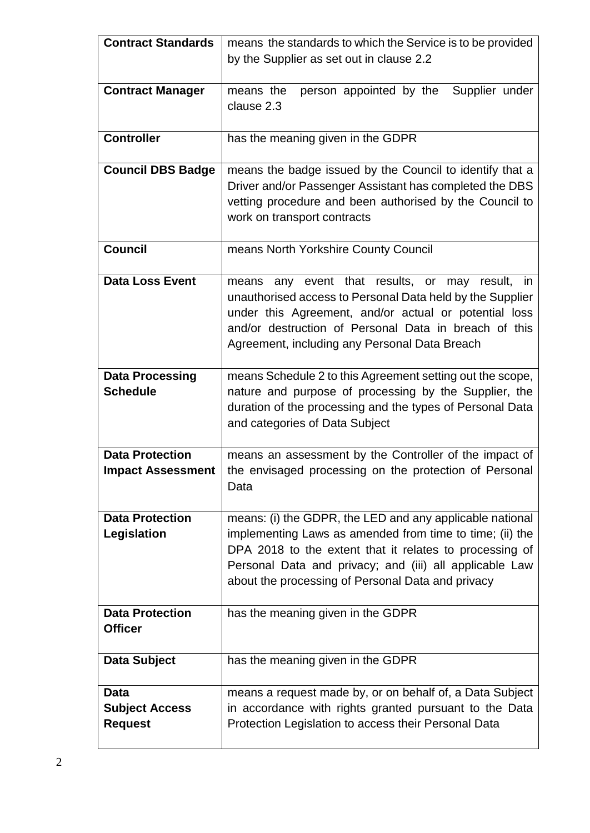| <b>Contract Standards</b> | means the standards to which the Service is to be provided                                                         |  |
|---------------------------|--------------------------------------------------------------------------------------------------------------------|--|
|                           | by the Supplier as set out in clause 2.2                                                                           |  |
| <b>Contract Manager</b>   | person appointed by the Supplier under<br>means the                                                                |  |
|                           | clause 2.3                                                                                                         |  |
| <b>Controller</b>         | has the meaning given in the GDPR                                                                                  |  |
| <b>Council DBS Badge</b>  | means the badge issued by the Council to identify that a                                                           |  |
|                           | Driver and/or Passenger Assistant has completed the DBS                                                            |  |
|                           | vetting procedure and been authorised by the Council to<br>work on transport contracts                             |  |
|                           |                                                                                                                    |  |
| <b>Council</b>            | means North Yorkshire County Council                                                                               |  |
|                           |                                                                                                                    |  |
| <b>Data Loss Event</b>    | means any event that results, or may result, in                                                                    |  |
|                           | unauthorised access to Personal Data held by the Supplier<br>under this Agreement, and/or actual or potential loss |  |
|                           | and/or destruction of Personal Data in breach of this                                                              |  |
|                           | Agreement, including any Personal Data Breach                                                                      |  |
|                           |                                                                                                                    |  |
| <b>Data Processing</b>    | means Schedule 2 to this Agreement setting out the scope,                                                          |  |
| <b>Schedule</b>           | nature and purpose of processing by the Supplier, the                                                              |  |
|                           | duration of the processing and the types of Personal Data<br>and categories of Data Subject                        |  |
|                           |                                                                                                                    |  |
| <b>Data Protection</b>    | means an assessment by the Controller of the impact of                                                             |  |
| <b>Impact Assessment</b>  | the envisaged processing on the protection of Personal                                                             |  |
|                           | Data                                                                                                               |  |
| <b>Data Protection</b>    | means: (i) the GDPR, the LED and any applicable national                                                           |  |
| Legislation               | implementing Laws as amended from time to time; (ii) the                                                           |  |
|                           | DPA 2018 to the extent that it relates to processing of                                                            |  |
|                           | Personal Data and privacy; and (iii) all applicable Law                                                            |  |
|                           | about the processing of Personal Data and privacy                                                                  |  |
| <b>Data Protection</b>    | has the meaning given in the GDPR                                                                                  |  |
| <b>Officer</b>            |                                                                                                                    |  |
|                           |                                                                                                                    |  |
| <b>Data Subject</b>       | has the meaning given in the GDPR                                                                                  |  |
|                           |                                                                                                                    |  |
| <b>Data</b>               | means a request made by, or on behalf of, a Data Subject                                                           |  |
| <b>Subject Access</b>     | in accordance with rights granted pursuant to the Data                                                             |  |
| <b>Request</b>            | Protection Legislation to access their Personal Data                                                               |  |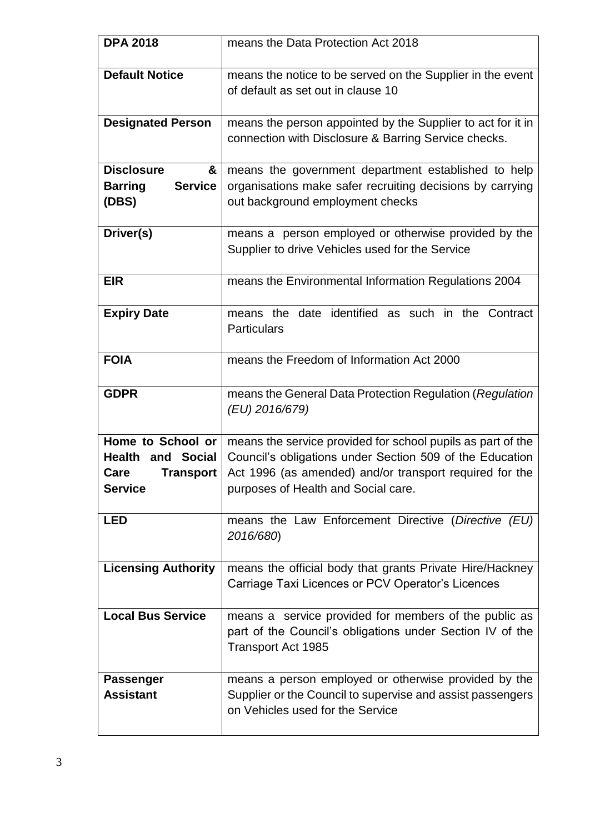| <b>DPA 2018</b>                                                                         | means the Data Protection Act 2018                                                                                                                                                                                        |  |
|-----------------------------------------------------------------------------------------|---------------------------------------------------------------------------------------------------------------------------------------------------------------------------------------------------------------------------|--|
| <b>Default Notice</b>                                                                   | means the notice to be served on the Supplier in the event<br>of default as set out in clause 10                                                                                                                          |  |
| <b>Designated Person</b>                                                                | means the person appointed by the Supplier to act for it in<br>connection with Disclosure & Barring Service checks.                                                                                                       |  |
| <b>Disclosure</b><br>&<br><b>Service</b><br><b>Barring</b><br>(DBS)                     | means the government department established to help<br>organisations make safer recruiting decisions by carrying<br>out background employment checks                                                                      |  |
| Driver(s)                                                                               | means a person employed or otherwise provided by the<br>Supplier to drive Vehicles used for the Service                                                                                                                   |  |
| <b>EIR</b>                                                                              | means the Environmental Information Regulations 2004                                                                                                                                                                      |  |
| <b>Expiry Date</b>                                                                      | means the date identified as such in the Contract<br><b>Particulars</b>                                                                                                                                                   |  |
| <b>FOIA</b>                                                                             | means the Freedom of Information Act 2000                                                                                                                                                                                 |  |
| <b>GDPR</b>                                                                             | means the General Data Protection Regulation (Regulation<br>(EU) 2016/679)                                                                                                                                                |  |
| Home to School or<br><b>Health</b><br>and Social<br>Care<br>Transport<br><b>Service</b> | means the service provided for school pupils as part of the<br>Council's obligations under Section 509 of the Education<br>Act 1996 (as amended) and/or transport required for the<br>purposes of Health and Social care. |  |
| <b>LED</b>                                                                              | means the Law Enforcement Directive (Directive (EU)<br>2016/680)                                                                                                                                                          |  |
| <b>Licensing Authority</b>                                                              | means the official body that grants Private Hire/Hackney<br>Carriage Taxi Licences or PCV Operator's Licences                                                                                                             |  |
| <b>Local Bus Service</b>                                                                | means a service provided for members of the public as<br>part of the Council's obligations under Section IV of the<br><b>Transport Act 1985</b>                                                                           |  |
| <b>Passenger</b><br><b>Assistant</b>                                                    | means a person employed or otherwise provided by the<br>Supplier or the Council to supervise and assist passengers<br>on Vehicles used for the Service                                                                    |  |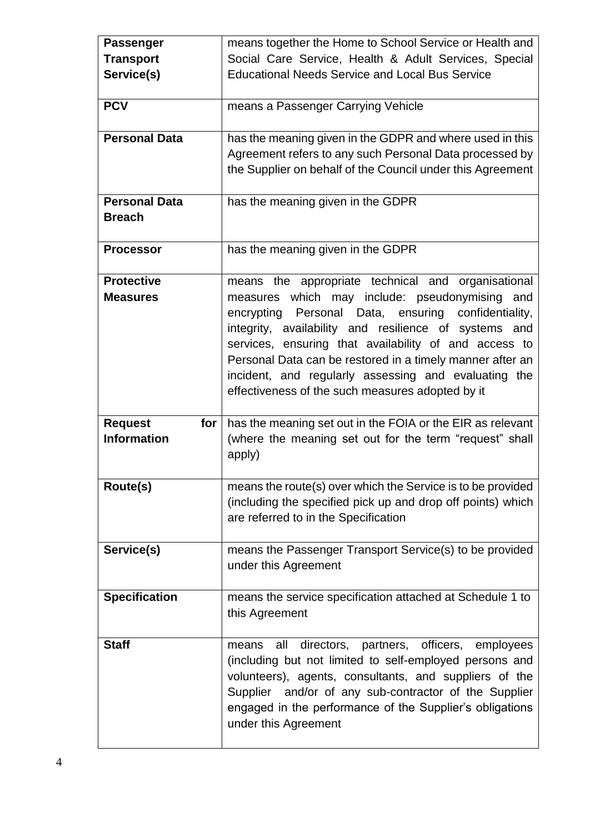| <b>Passenger</b>      | means together the Home to School Service or Health and                                                               |  |
|-----------------------|-----------------------------------------------------------------------------------------------------------------------|--|
| <b>Transport</b>      | Social Care Service, Health & Adult Services, Special                                                                 |  |
| Service(s)            | <b>Educational Needs Service and Local Bus Service</b>                                                                |  |
|                       |                                                                                                                       |  |
| <b>PCV</b>            | means a Passenger Carrying Vehicle                                                                                    |  |
|                       |                                                                                                                       |  |
| <b>Personal Data</b>  | has the meaning given in the GDPR and where used in this                                                              |  |
|                       | Agreement refers to any such Personal Data processed by                                                               |  |
|                       | the Supplier on behalf of the Council under this Agreement                                                            |  |
|                       |                                                                                                                       |  |
| <b>Personal Data</b>  | has the meaning given in the GDPR                                                                                     |  |
| <b>Breach</b>         |                                                                                                                       |  |
|                       |                                                                                                                       |  |
| <b>Processor</b>      | has the meaning given in the GDPR                                                                                     |  |
|                       |                                                                                                                       |  |
| <b>Protective</b>     | means the appropriate technical and organisational                                                                    |  |
| <b>Measures</b>       | measures which may include: pseudonymising and                                                                        |  |
|                       | encrypting Personal Data, ensuring confidentiality,                                                                   |  |
|                       | integrity, availability and resilience of systems and                                                                 |  |
|                       | services, ensuring that availability of and access to                                                                 |  |
|                       | Personal Data can be restored in a timely manner after an                                                             |  |
|                       | incident, and regularly assessing and evaluating the                                                                  |  |
|                       | effectiveness of the such measures adopted by it                                                                      |  |
|                       |                                                                                                                       |  |
|                       |                                                                                                                       |  |
| <b>Request</b><br>for |                                                                                                                       |  |
| <b>Information</b>    | has the meaning set out in the FOIA or the EIR as relevant<br>(where the meaning set out for the term "request" shall |  |
|                       | apply)                                                                                                                |  |
|                       |                                                                                                                       |  |
|                       | means the route(s) over which the Service is to be provided                                                           |  |
| Route(s)              | (including the specified pick up and drop off points) which                                                           |  |
|                       | are referred to in the Specification                                                                                  |  |
|                       |                                                                                                                       |  |
| Service(s)            |                                                                                                                       |  |
|                       | means the Passenger Transport Service(s) to be provided<br>under this Agreement                                       |  |
|                       |                                                                                                                       |  |
| <b>Specification</b>  | means the service specification attached at Schedule 1 to                                                             |  |
|                       | this Agreement                                                                                                        |  |
|                       |                                                                                                                       |  |
| <b>Staff</b>          | directors, partners, officers, employees<br>all<br>means                                                              |  |
|                       | (including but not limited to self-employed persons and                                                               |  |
|                       | volunteers), agents, consultants, and suppliers of the                                                                |  |
|                       |                                                                                                                       |  |
|                       | Supplier and/or of any sub-contractor of the Supplier                                                                 |  |
|                       | engaged in the performance of the Supplier's obligations<br>under this Agreement                                      |  |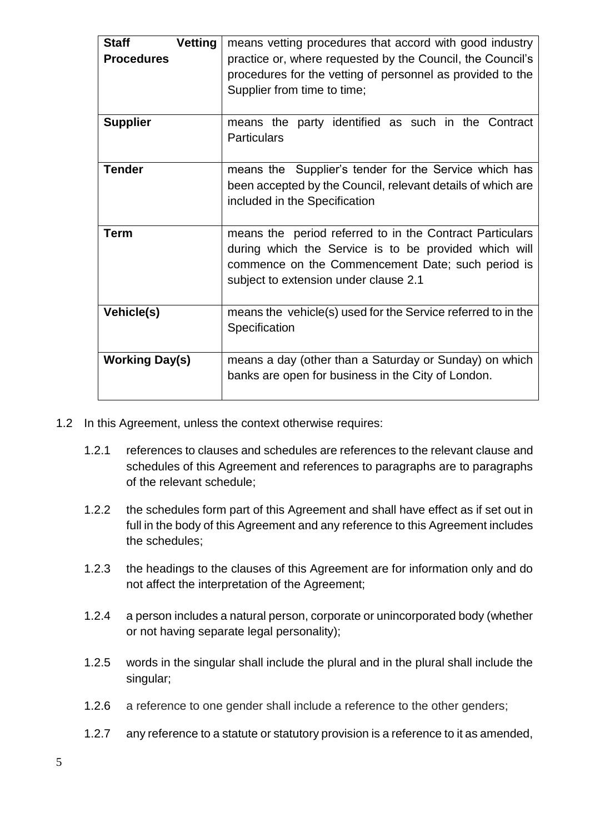| <b>Vetting</b><br><b>Staff</b><br><b>Procedures</b> | means vetting procedures that accord with good industry<br>practice or, where requested by the Council, the Council's<br>procedures for the vetting of personnel as provided to the<br>Supplier from time to time; |  |
|-----------------------------------------------------|--------------------------------------------------------------------------------------------------------------------------------------------------------------------------------------------------------------------|--|
| <b>Supplier</b>                                     | means the party identified as such in the Contract<br><b>Particulars</b>                                                                                                                                           |  |
| <b>Tender</b>                                       | means the Supplier's tender for the Service which has<br>been accepted by the Council, relevant details of which are<br>included in the Specification                                                              |  |
| <b>Term</b>                                         | means the period referred to in the Contract Particulars<br>during which the Service is to be provided which will<br>commence on the Commencement Date; such period is<br>subject to extension under clause 2.1    |  |
| Vehicle(s)                                          | means the vehicle(s) used for the Service referred to in the<br>Specification                                                                                                                                      |  |
| <b>Working Day(s)</b>                               | means a day (other than a Saturday or Sunday) on which<br>banks are open for business in the City of London.                                                                                                       |  |

- 1.2 In this Agreement, unless the context otherwise requires:
	- 1.2.1 references to clauses and schedules are references to the relevant clause and schedules of this Agreement and references to paragraphs are to paragraphs of the relevant schedule;
	- 1.2.2 the schedules form part of this Agreement and shall have effect as if set out in full in the body of this Agreement and any reference to this Agreement includes the schedules;
	- 1.2.3 the headings to the clauses of this Agreement are for information only and do not affect the interpretation of the Agreement;
	- 1.2.4 a person includes a natural person, corporate or unincorporated body (whether or not having separate legal personality);
	- 1.2.5 words in the singular shall include the plural and in the plural shall include the singular;
	- 1.2.6 a reference to one gender shall include a reference to the other genders;
	- 1.2.7 any reference to a statute or statutory provision is a reference to it as amended,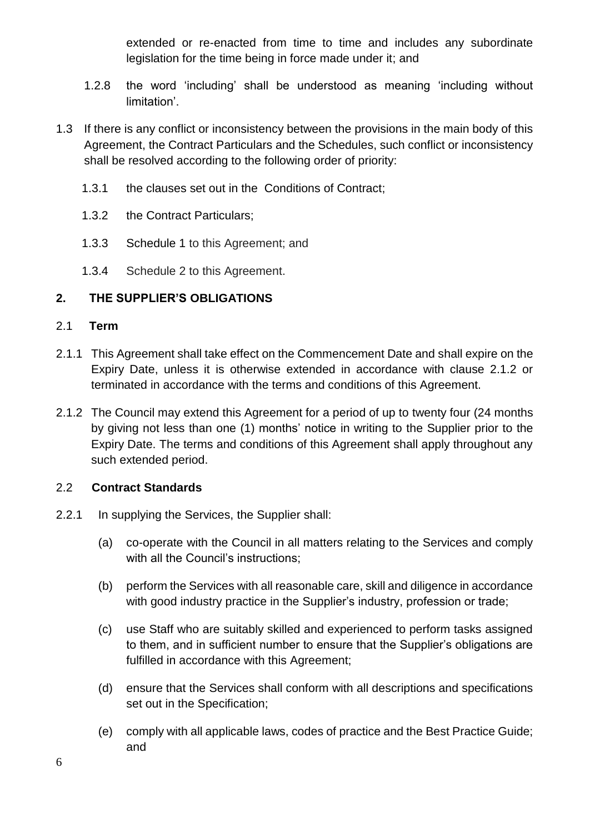extended or re-enacted from time to time and includes any subordinate legislation for the time being in force made under it; and

- 1.2.8 the word 'including' shall be understood as meaning 'including without limitation'.
- 1.3 If there is any conflict or inconsistency between the provisions in the main body of this Agreement, the Contract Particulars and the Schedules, such conflict or inconsistency shall be resolved according to the following order of priority:
	- 1.3.1 the clauses set out in the Conditions of Contract;
	- 1.3.2 the Contract Particulars;
	- 1.3.3 [Schedule 1](https://uk.practicallaw.thomsonreuters.com/Document/Icf31692fe89111e398db8b09b4f043e0/View/FullText.html?navigationPath=Search%2Fv3%2Fsearch%2Fresults%2Fnavigation%2Fi0ad7401500000160f8a2727d2acc825c%3FNav%3DKNOWHOW_UK%26fragmentIdentifier%3DIcf31692fe89111e398db8b09b4f043e0%26startIndex%3D1%26contextData%3D%2528sc.Search%2529%26transitionType%3DSearchItem&listSource=Search&listPageSource=5c848255866c3a299d848bf9104cc994&list=KNOWHOW_UK&rank=3&sessionScopeId=93f59416064ad0fa8242cb3c7b28c04bc3bcebab5801c34c577392e102b502c4&originationContext=Search%20Result&transitionType=SearchItem&contextData=(sc.Search)&navId=E4C533A071F9F0F04DAEB883F88A7347&comp=pluk#co_anchor_a687567) to this Agreement; and
	- 1.3.4 Schedule 2 to this Agreement.

### **2. THE SUPPLIER'S OBLIGATIONS**

- 2.1 **Term**
- 2.1.1 This Agreement shall take effect on the Commencement Date and shall expire on the Expiry Date, unless it is otherwise extended in accordance with clause 2.1.2 or terminated in accordance with the terms and conditions of this Agreement.
- 2.1.2 The Council may extend this Agreement for a period of up to twenty four (24 months by giving not less than one (1) months' notice in writing to the Supplier prior to the Expiry Date. The terms and conditions of this Agreement shall apply throughout any such extended period.

### 2.2 **Contract Standards**

- 2.2.1 In supplying the Services, the Supplier shall:
	- (a) co-operate with the Council in all matters relating to the Services and comply with all the Council's instructions:
	- (b) perform the Services with all reasonable care, skill and diligence in accordance with good industry practice in the Supplier's industry, profession or trade;
	- (c) use Staff who are suitably skilled and experienced to perform tasks assigned to them, and in sufficient number to ensure that the Supplier's obligations are fulfilled in accordance with this Agreement;
	- (d) ensure that the Services shall conform with all descriptions and specifications set out in the Specification;
	- (e) comply with all applicable laws, codes of practice and the Best Practice Guide; and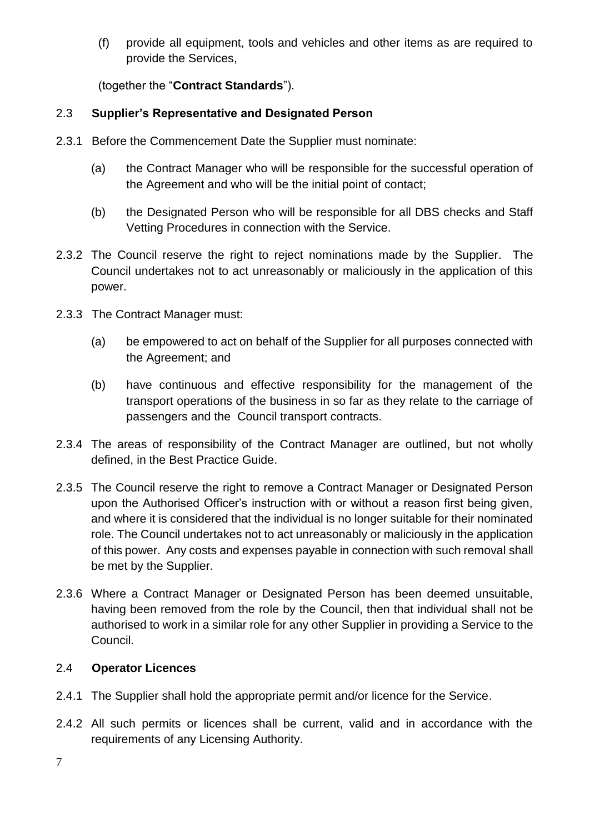(f) provide all equipment, tools and vehicles and other items as are required to provide the Services,

(together the "**Contract Standards**").

### 2.3 **Supplier's Representative and Designated Person**

- 2.3.1 Before the Commencement Date the Supplier must nominate:
	- (a) the Contract Manager who will be responsible for the successful operation of the Agreement and who will be the initial point of contact;
	- (b) the Designated Person who will be responsible for all DBS checks and Staff Vetting Procedures in connection with the Service.
- 2.3.2 The Council reserve the right to reject nominations made by the Supplier. The Council undertakes not to act unreasonably or maliciously in the application of this power.
- 2.3.3 The Contract Manager must:
	- (a) be empowered to act on behalf of the Supplier for all purposes connected with the Agreement; and
	- (b) have continuous and effective responsibility for the management of the transport operations of the business in so far as they relate to the carriage of passengers and the Council transport contracts.
- 2.3.4 The areas of responsibility of the Contract Manager are outlined, but not wholly defined, in the Best Practice Guide.
- 2.3.5 The Council reserve the right to remove a Contract Manager or Designated Person upon the Authorised Officer's instruction with or without a reason first being given, and where it is considered that the individual is no longer suitable for their nominated role. The Council undertakes not to act unreasonably or maliciously in the application of this power. Any costs and expenses payable in connection with such removal shall be met by the Supplier.
- 2.3.6 Where a Contract Manager or Designated Person has been deemed unsuitable, having been removed from the role by the Council, then that individual shall not be authorised to work in a similar role for any other Supplier in providing a Service to the Council.

### 2.4 **Operator Licences**

- 2.4.1 The Supplier shall hold the appropriate permit and/or licence for the Service.
- 2.4.2 All such permits or licences shall be current, valid and in accordance with the requirements of any Licensing Authority.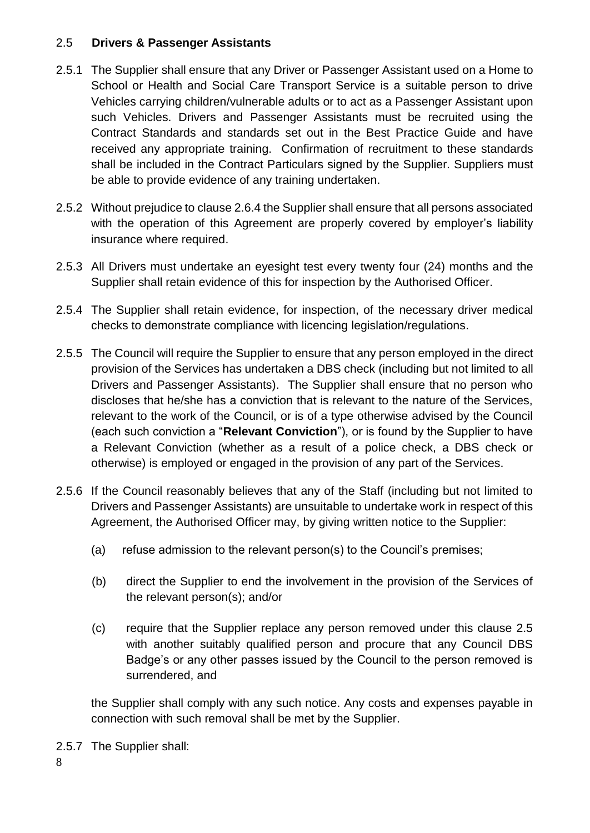#### 2.5 **Drivers & Passenger Assistants**

- 2.5.1 The Supplier shall ensure that any Driver or Passenger Assistant used on a Home to School or Health and Social Care Transport Service is a suitable person to drive Vehicles carrying children/vulnerable adults or to act as a Passenger Assistant upon such Vehicles. Drivers and Passenger Assistants must be recruited using the Contract Standards and standards set out in the Best Practice Guide and have received any appropriate training. Confirmation of recruitment to these standards shall be included in the Contract Particulars signed by the Supplier. Suppliers must be able to provide evidence of any training undertaken.
- 2.5.2 Without prejudice to clause 2.6.4 the Supplier shall ensure that all persons associated with the operation of this Agreement are properly covered by employer's liability insurance where required.
- 2.5.3 All Drivers must undertake an eyesight test every twenty four (24) months and the Supplier shall retain evidence of this for inspection by the Authorised Officer.
- 2.5.4 The Supplier shall retain evidence, for inspection, of the necessary driver medical checks to demonstrate compliance with licencing legislation/regulations.
- 2.5.5 The Council will require the Supplier to ensure that any person employed in the direct provision of the Services has undertaken a DBS check (including but not limited to all Drivers and Passenger Assistants). The Supplier shall ensure that no person who discloses that he/she has a conviction that is relevant to the nature of the Services, relevant to the work of the Council, or is of a type otherwise advised by the Council (each such conviction a "**Relevant Conviction**"), or is found by the Supplier to have a Relevant Conviction (whether as a result of a police check, a DBS check or otherwise) is employed or engaged in the provision of any part of the Services.
- 2.5.6 If the Council reasonably believes that any of the Staff (including but not limited to Drivers and Passenger Assistants) are unsuitable to undertake work in respect of this Agreement, the Authorised Officer may, by giving written notice to the Supplier:
	- (a) refuse admission to the relevant person(s) to the Council's premises;
	- (b) direct the Supplier to end the involvement in the provision of the Services of the relevant person(s); and/or
	- (c) require that the Supplier replace any person removed under this clause 2.5 with another suitably qualified person and procure that any Council DBS Badge's or any other passes issued by the Council to the person removed is surrendered, and

the Supplier shall comply with any such notice. Any costs and expenses payable in connection with such removal shall be met by the Supplier.

2.5.7 The Supplier shall: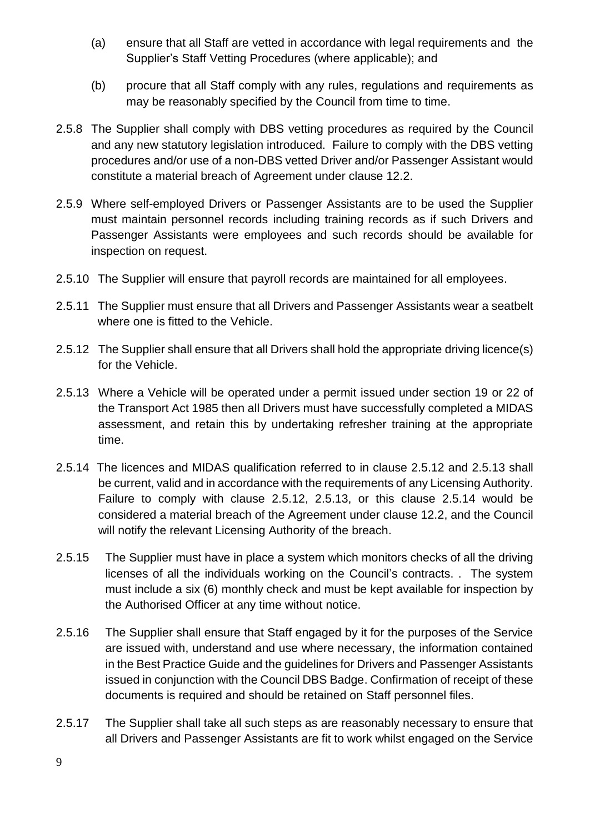- (a) ensure that all Staff are vetted in accordance with legal requirements and the Supplier's Staff Vetting Procedures (where applicable); and
- (b) procure that all Staff comply with any rules, regulations and requirements as may be reasonably specified by the Council from time to time.
- 2.5.8 The Supplier shall comply with DBS vetting procedures as required by the Council and any new statutory legislation introduced. Failure to comply with the DBS vetting procedures and/or use of a non-DBS vetted Driver and/or Passenger Assistant would constitute a material breach of Agreement under clause 12.2.
- 2.5.9 Where self-employed Drivers or Passenger Assistants are to be used the Supplier must maintain personnel records including training records as if such Drivers and Passenger Assistants were employees and such records should be available for inspection on request.
- 2.5.10 The Supplier will ensure that payroll records are maintained for all employees.
- 2.5.11 The Supplier must ensure that all Drivers and Passenger Assistants wear a seatbelt where one is fitted to the Vehicle.
- 2.5.12 The Supplier shall ensure that all Drivers shall hold the appropriate driving licence(s) for the Vehicle.
- 2.5.13 Where a Vehicle will be operated under a permit issued under section 19 or 22 of the Transport Act 1985 then all Drivers must have successfully completed a MIDAS assessment, and retain this by undertaking refresher training at the appropriate time.
- 2.5.14 The licences and MIDAS qualification referred to in clause 2.5.12 and 2.5.13 shall be current, valid and in accordance with the requirements of any Licensing Authority. Failure to comply with clause 2.5.12, 2.5.13, or this clause 2.5.14 would be considered a material breach of the Agreement under clause 12.2, and the Council will notify the relevant Licensing Authority of the breach.
- 2.5.15 The Supplier must have in place a system which monitors checks of all the driving licenses of all the individuals working on the Council's contracts. . The system must include a six (6) monthly check and must be kept available for inspection by the Authorised Officer at any time without notice.
- 2.5.16 The Supplier shall ensure that Staff engaged by it for the purposes of the Service are issued with, understand and use where necessary, the information contained in the Best Practice Guide and the guidelines for Drivers and Passenger Assistants issued in conjunction with the Council DBS Badge. Confirmation of receipt of these documents is required and should be retained on Staff personnel files.
- 2.5.17 The Supplier shall take all such steps as are reasonably necessary to ensure that all Drivers and Passenger Assistants are fit to work whilst engaged on the Service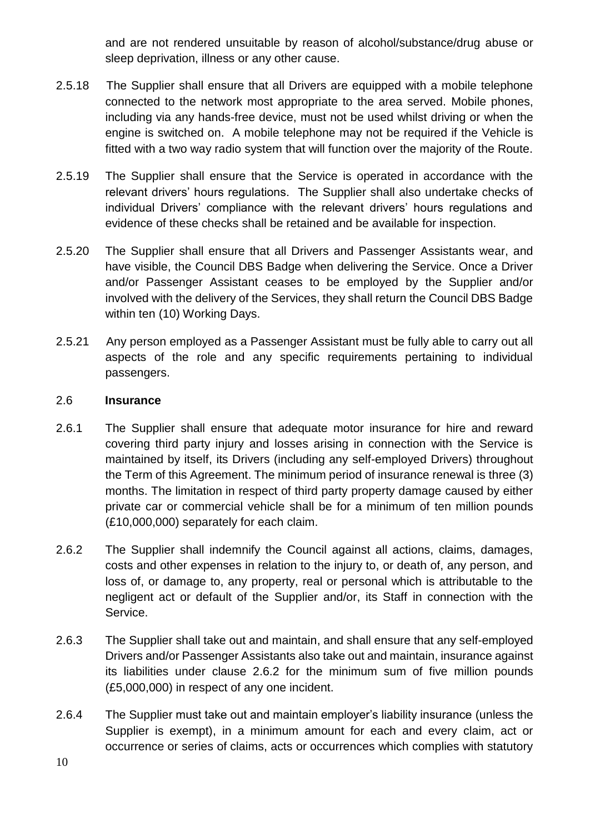and are not rendered unsuitable by reason of alcohol/substance/drug abuse or sleep deprivation, illness or any other cause.

- 2.5.18 The Supplier shall ensure that all Drivers are equipped with a mobile telephone connected to the network most appropriate to the area served. Mobile phones, including via any hands-free device, must not be used whilst driving or when the engine is switched on. A mobile telephone may not be required if the Vehicle is fitted with a two way radio system that will function over the majority of the Route.
- 2.5.19 The Supplier shall ensure that the Service is operated in accordance with the relevant drivers' hours regulations. The Supplier shall also undertake checks of individual Drivers' compliance with the relevant drivers' hours regulations and evidence of these checks shall be retained and be available for inspection.
- 2.5.20 The Supplier shall ensure that all Drivers and Passenger Assistants wear, and have visible, the Council DBS Badge when delivering the Service. Once a Driver and/or Passenger Assistant ceases to be employed by the Supplier and/or involved with the delivery of the Services, they shall return the Council DBS Badge within ten (10) Working Days.
- 2.5.21 Any person employed as a Passenger Assistant must be fully able to carry out all aspects of the role and any specific requirements pertaining to individual passengers.

#### 2.6 **Insurance**

- 2.6.1 The Supplier shall ensure that adequate motor insurance for hire and reward covering third party injury and losses arising in connection with the Service is maintained by itself, its Drivers (including any self-employed Drivers) throughout the Term of this Agreement. The minimum period of insurance renewal is three (3) months. The limitation in respect of third party property damage caused by either private car or commercial vehicle shall be for a minimum of ten million pounds (£10,000,000) separately for each claim.
- 2.6.2 The Supplier shall indemnify the Council against all actions, claims, damages, costs and other expenses in relation to the injury to, or death of, any person, and loss of, or damage to, any property, real or personal which is attributable to the negligent act or default of the Supplier and/or, its Staff in connection with the Service.
- 2.6.3 The Supplier shall take out and maintain, and shall ensure that any self-employed Drivers and/or Passenger Assistants also take out and maintain, insurance against its liabilities under clause 2.6.2 for the minimum sum of five million pounds (£5,000,000) in respect of any one incident.
- 2.6.4 The Supplier must take out and maintain employer's liability insurance (unless the Supplier is exempt), in a minimum amount for each and every claim, act or occurrence or series of claims, acts or occurrences which complies with statutory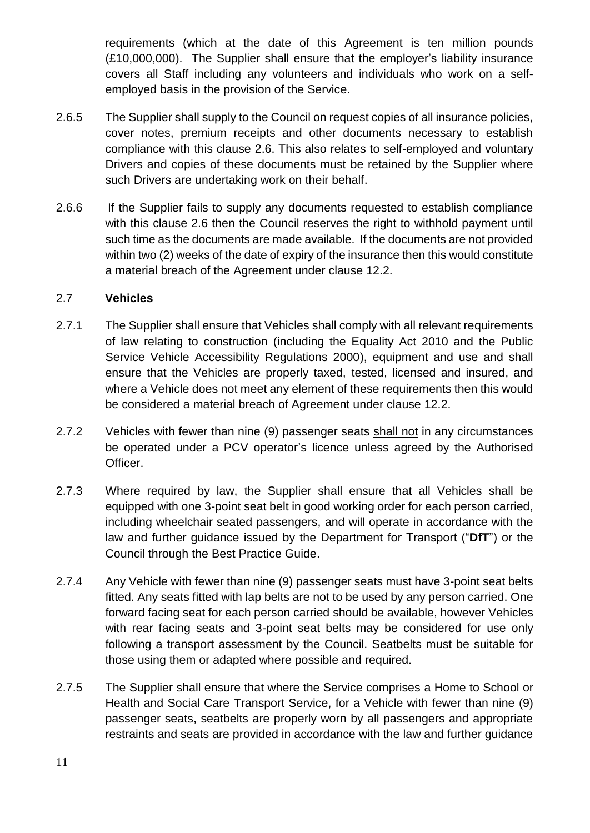requirements (which at the date of this Agreement is ten million pounds (£10,000,000). The Supplier shall ensure that the employer's liability insurance covers all Staff including any volunteers and individuals who work on a selfemployed basis in the provision of the Service.

- 2.6.5 The Supplier shall supply to the Council on request copies of all insurance policies, cover notes, premium receipts and other documents necessary to establish compliance with this clause 2.6. This also relates to self-employed and voluntary Drivers and copies of these documents must be retained by the Supplier where such Drivers are undertaking work on their behalf.
- 2.6.6 If the Supplier fails to supply any documents requested to establish compliance with this clause 2.6 then the Council reserves the right to withhold payment until such time as the documents are made available. If the documents are not provided within two (2) weeks of the date of expiry of the insurance then this would constitute a material breach of the Agreement under clause 12.2.

#### 2.7 **Vehicles**

- 2.7.1 The Supplier shall ensure that Vehicles shall comply with all relevant requirements of law relating to construction (including the Equality Act 2010 and the Public Service Vehicle Accessibility Regulations 2000), equipment and use and shall ensure that the Vehicles are properly taxed, tested, licensed and insured, and where a Vehicle does not meet any element of these requirements then this would be considered a material breach of Agreement under clause 12.2.
- 2.7.2 Vehicles with fewer than nine (9) passenger seats shall not in any circumstances be operated under a PCV operator's licence unless agreed by the Authorised Officer.
- 2.7.3 Where required by law, the Supplier shall ensure that all Vehicles shall be equipped with one 3-point seat belt in good working order for each person carried, including wheelchair seated passengers, and will operate in accordance with the law and further guidance issued by the Department for Transport ("**DfT**") or the Council through the Best Practice Guide.
- 2.7.4 Any Vehicle with fewer than nine (9) passenger seats must have 3-point seat belts fitted. Any seats fitted with lap belts are not to be used by any person carried. One forward facing seat for each person carried should be available, however Vehicles with rear facing seats and 3-point seat belts may be considered for use only following a transport assessment by the Council. Seatbelts must be suitable for those using them or adapted where possible and required.
- 2.7.5 The Supplier shall ensure that where the Service comprises a Home to School or Health and Social Care Transport Service, for a Vehicle with fewer than nine (9) passenger seats, seatbelts are properly worn by all passengers and appropriate restraints and seats are provided in accordance with the law and further guidance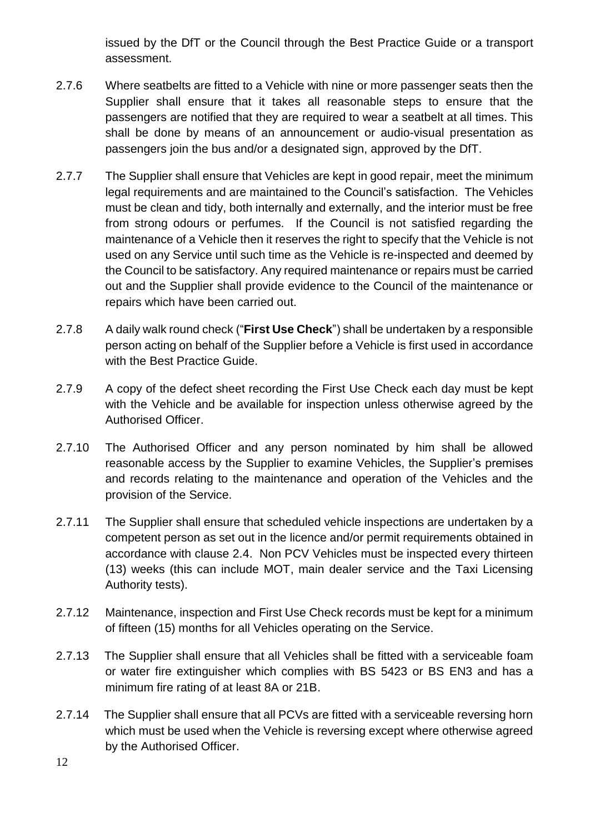issued by the DfT or the Council through the Best Practice Guide or a transport assessment.

- 2.7.6 Where seatbelts are fitted to a Vehicle with nine or more passenger seats then the Supplier shall ensure that it takes all reasonable steps to ensure that the passengers are notified that they are required to wear a seatbelt at all times. This shall be done by means of an announcement or audio-visual presentation as passengers join the bus and/or a designated sign, approved by the DfT.
- 2.7.7 The Supplier shall ensure that Vehicles are kept in good repair, meet the minimum legal requirements and are maintained to the Council's satisfaction. The Vehicles must be clean and tidy, both internally and externally, and the interior must be free from strong odours or perfumes. If the Council is not satisfied regarding the maintenance of a Vehicle then it reserves the right to specify that the Vehicle is not used on any Service until such time as the Vehicle is re-inspected and deemed by the Council to be satisfactory. Any required maintenance or repairs must be carried out and the Supplier shall provide evidence to the Council of the maintenance or repairs which have been carried out.
- 2.7.8 A daily walk round check ("**First Use Check**") shall be undertaken by a responsible person acting on behalf of the Supplier before a Vehicle is first used in accordance with the Best Practice Guide.
- 2.7.9 A copy of the defect sheet recording the First Use Check each day must be kept with the Vehicle and be available for inspection unless otherwise agreed by the Authorised Officer.
- 2.7.10 The Authorised Officer and any person nominated by him shall be allowed reasonable access by the Supplier to examine Vehicles, the Supplier's premises and records relating to the maintenance and operation of the Vehicles and the provision of the Service.
- 2.7.11 The Supplier shall ensure that scheduled vehicle inspections are undertaken by a competent person as set out in the licence and/or permit requirements obtained in accordance with clause 2.4. Non PCV Vehicles must be inspected every thirteen (13) weeks (this can include MOT, main dealer service and the Taxi Licensing Authority tests).
- 2.7.12 Maintenance, inspection and First Use Check records must be kept for a minimum of fifteen (15) months for all Vehicles operating on the Service.
- 2.7.13 The Supplier shall ensure that all Vehicles shall be fitted with a serviceable foam or water fire extinguisher which complies with BS 5423 or BS EN3 and has a minimum fire rating of at least 8A or 21B.
- 2.7.14 The Supplier shall ensure that all PCVs are fitted with a serviceable reversing horn which must be used when the Vehicle is reversing except where otherwise agreed by the Authorised Officer.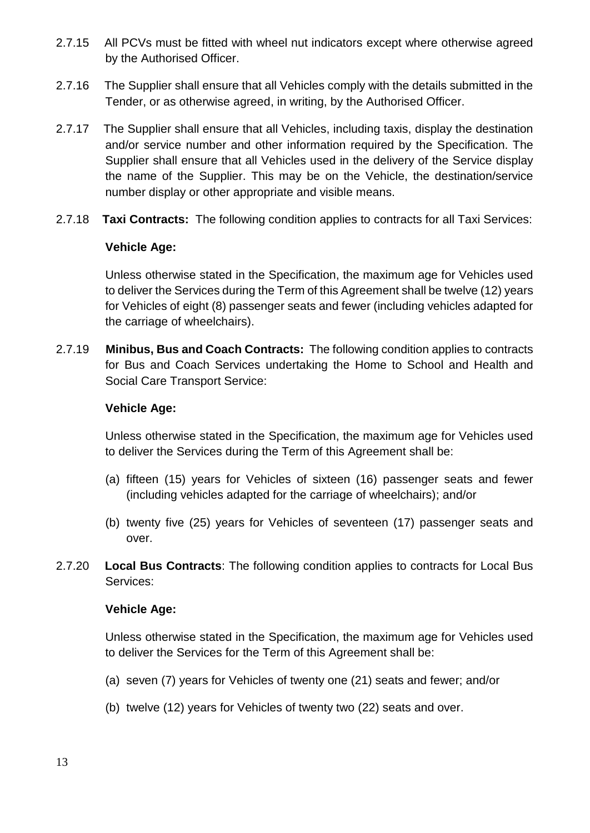- 2.7.15 All PCVs must be fitted with wheel nut indicators except where otherwise agreed by the Authorised Officer.
- 2.7.16 The Supplier shall ensure that all Vehicles comply with the details submitted in the Tender, or as otherwise agreed, in writing, by the Authorised Officer.
- 2.7.17 The Supplier shall ensure that all Vehicles, including taxis, display the destination and/or service number and other information required by the Specification. The Supplier shall ensure that all Vehicles used in the delivery of the Service display the name of the Supplier. This may be on the Vehicle, the destination/service number display or other appropriate and visible means.
- 2.7.18 **Taxi Contracts:** The following condition applies to contracts for all Taxi Services:

#### **Vehicle Age:**

Unless otherwise stated in the Specification, the maximum age for Vehicles used to deliver the Services during the Term of this Agreement shall be twelve (12) years for Vehicles of eight (8) passenger seats and fewer (including vehicles adapted for the carriage of wheelchairs).

2.7.19 **Minibus, Bus and Coach Contracts:** The following condition applies to contracts for Bus and Coach Services undertaking the Home to School and Health and Social Care Transport Service:

#### **Vehicle Age:**

Unless otherwise stated in the Specification, the maximum age for Vehicles used to deliver the Services during the Term of this Agreement shall be:

- (a) fifteen (15) years for Vehicles of sixteen (16) passenger seats and fewer (including vehicles adapted for the carriage of wheelchairs); and/or
- (b) twenty five (25) years for Vehicles of seventeen (17) passenger seats and over.
- 2.7.20 **Local Bus Contracts**: The following condition applies to contracts for Local Bus Services:

#### **Vehicle Age:**

Unless otherwise stated in the Specification, the maximum age for Vehicles used to deliver the Services for the Term of this Agreement shall be:

- (a) seven (7) years for Vehicles of twenty one (21) seats and fewer; and/or
- (b) twelve (12) years for Vehicles of twenty two (22) seats and over.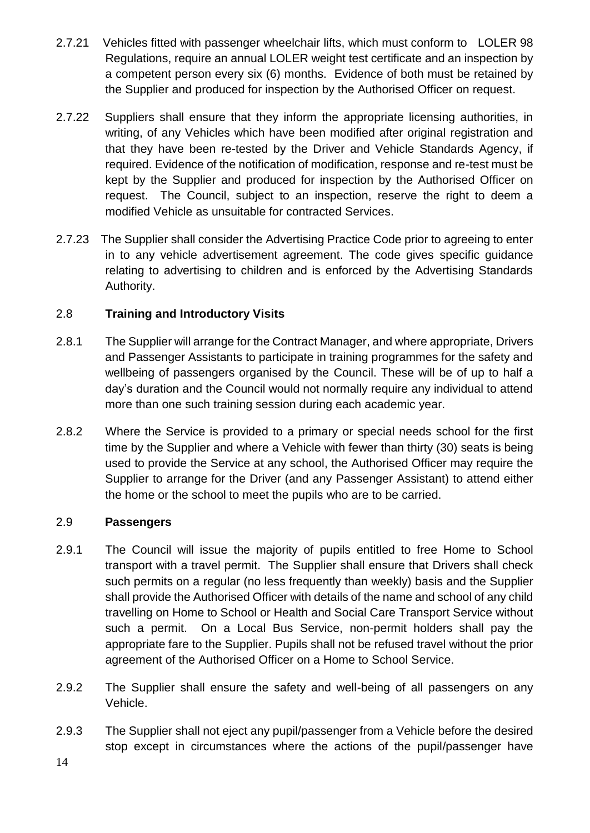- 2.7.21 Vehicles fitted with passenger wheelchair lifts, which must conform to LOLER 98 Regulations, require an annual LOLER weight test certificate and an inspection by a competent person every six (6) months. Evidence of both must be retained by the Supplier and produced for inspection by the Authorised Officer on request.
- 2.7.22 Suppliers shall ensure that they inform the appropriate licensing authorities, in writing, of any Vehicles which have been modified after original registration and that they have been re-tested by the Driver and Vehicle Standards Agency, if required. Evidence of the notification of modification, response and re-test must be kept by the Supplier and produced for inspection by the Authorised Officer on request. The Council, subject to an inspection, reserve the right to deem a modified Vehicle as unsuitable for contracted Services.
- 2.7.23 The Supplier shall consider the Advertising Practice Code prior to agreeing to enter in to any vehicle advertisement agreement. The code gives specific guidance relating to advertising to children and is enforced by the Advertising Standards Authority.

### 2.8 **Training and Introductory Visits**

- 2.8.1 The Supplier will arrange for the Contract Manager, and where appropriate, Drivers and Passenger Assistants to participate in training programmes for the safety and wellbeing of passengers organised by the Council. These will be of up to half a day's duration and the Council would not normally require any individual to attend more than one such training session during each academic year.
- 2.8.2 Where the Service is provided to a primary or special needs school for the first time by the Supplier and where a Vehicle with fewer than thirty (30) seats is being used to provide the Service at any school, the Authorised Officer may require the Supplier to arrange for the Driver (and any Passenger Assistant) to attend either the home or the school to meet the pupils who are to be carried.

### 2.9 **Passengers**

- 2.9.1 The Council will issue the majority of pupils entitled to free Home to School transport with a travel permit. The Supplier shall ensure that Drivers shall check such permits on a regular (no less frequently than weekly) basis and the Supplier shall provide the Authorised Officer with details of the name and school of any child travelling on Home to School or Health and Social Care Transport Service without such a permit. On a Local Bus Service, non-permit holders shall pay the appropriate fare to the Supplier. Pupils shall not be refused travel without the prior agreement of the Authorised Officer on a Home to School Service.
- 2.9.2 The Supplier shall ensure the safety and well-being of all passengers on any Vehicle.
- 2.9.3 The Supplier shall not eject any pupil/passenger from a Vehicle before the desired stop except in circumstances where the actions of the pupil/passenger have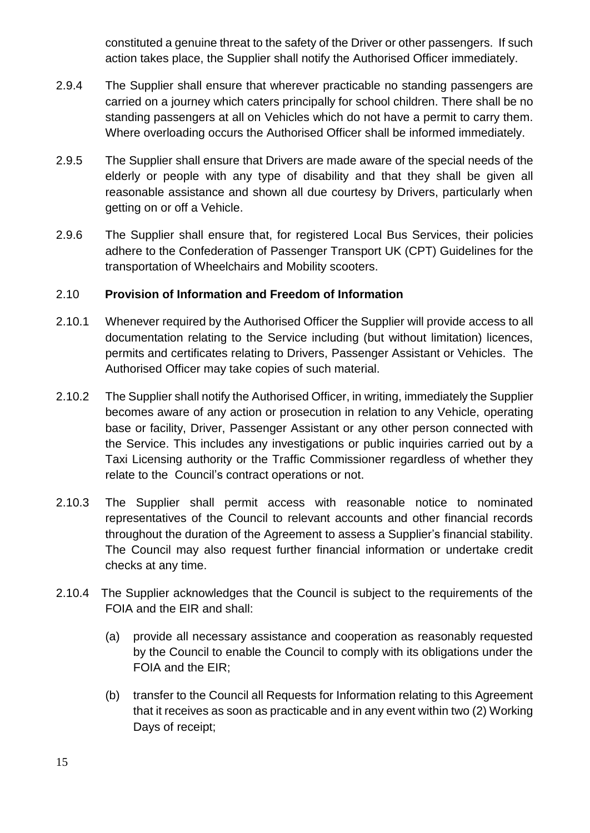constituted a genuine threat to the safety of the Driver or other passengers. If such action takes place, the Supplier shall notify the Authorised Officer immediately.

- 2.9.4 The Supplier shall ensure that wherever practicable no standing passengers are carried on a journey which caters principally for school children. There shall be no standing passengers at all on Vehicles which do not have a permit to carry them. Where overloading occurs the Authorised Officer shall be informed immediately.
- 2.9.5 The Supplier shall ensure that Drivers are made aware of the special needs of the elderly or people with any type of disability and that they shall be given all reasonable assistance and shown all due courtesy by Drivers, particularly when getting on or off a Vehicle.
- 2.9.6 The Supplier shall ensure that, for registered Local Bus Services, their policies adhere to the Confederation of Passenger Transport UK (CPT) Guidelines for the transportation of Wheelchairs and Mobility scooters.

### 2.10 **Provision of Information and Freedom of Information**

- 2.10.1 Whenever required by the Authorised Officer the Supplier will provide access to all documentation relating to the Service including (but without limitation) licences, permits and certificates relating to Drivers, Passenger Assistant or Vehicles. The Authorised Officer may take copies of such material.
- 2.10.2 The Supplier shall notify the Authorised Officer, in writing, immediately the Supplier becomes aware of any action or prosecution in relation to any Vehicle, operating base or facility, Driver, Passenger Assistant or any other person connected with the Service. This includes any investigations or public inquiries carried out by a Taxi Licensing authority or the Traffic Commissioner regardless of whether they relate to the Council's contract operations or not.
- 2.10.3 The Supplier shall permit access with reasonable notice to nominated representatives of the Council to relevant accounts and other financial records throughout the duration of the Agreement to assess a Supplier's financial stability. The Council may also request further financial information or undertake credit checks at any time.
- 2.10.4 The Supplier acknowledges that the Council is subject to the requirements of the FOIA and the EIR and shall:
	- (a) provide all necessary assistance and cooperation as reasonably requested by the Council to enable the Council to comply with its obligations under the FOIA and the EIR;
	- (b) transfer to the Council all Requests for Information relating to this Agreement that it receives as soon as practicable and in any event within two (2) Working Days of receipt;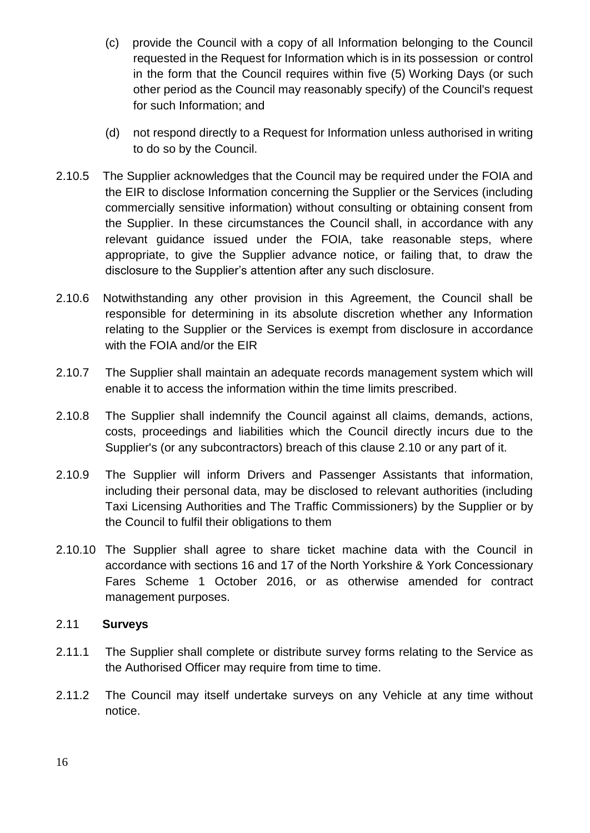- (c) provide the Council with a copy of all Information belonging to the Council requested in the Request for Information which is in its possession or control in the form that the Council requires within five (5) Working Days (or such other period as the Council may reasonably specify) of the Council's request for such Information; and
- (d) not respond directly to a Request for Information unless authorised in writing to do so by the Council.
- 2.10.5 The Supplier acknowledges that the Council may be required under the FOIA and the EIR to disclose Information concerning the Supplier or the Services (including commercially sensitive information) without consulting or obtaining consent from the Supplier. In these circumstances the Council shall, in accordance with any relevant guidance issued under the FOIA, take reasonable steps, where appropriate, to give the Supplier advance notice, or failing that, to draw the disclosure to the Supplier's attention after any such disclosure.
- 2.10.6 Notwithstanding any other provision in this Agreement, the Council shall be responsible for determining in its absolute discretion whether any Information relating to the Supplier or the Services is exempt from disclosure in accordance with the FOIA and/or the EIR
- 2.10.7 The Supplier shall maintain an adequate records management system which will enable it to access the information within the time limits prescribed.
- 2.10.8 The Supplier shall indemnify the Council against all claims, demands, actions, costs, proceedings and liabilities which the Council directly incurs due to the Supplier's (or any subcontractors) breach of this clause 2.10 or any part of it.
- 2.10.9 The Supplier will inform Drivers and Passenger Assistants that information, including their personal data, may be disclosed to relevant authorities (including Taxi Licensing Authorities and The Traffic Commissioners) by the Supplier or by the Council to fulfil their obligations to them
- 2.10.10 The Supplier shall agree to share ticket machine data with the Council in accordance with sections 16 and 17 of the North Yorkshire & York Concessionary Fares Scheme 1 October 2016, or as otherwise amended for contract management purposes.

#### 2.11 **Surveys**

- 2.11.1 The Supplier shall complete or distribute survey forms relating to the Service as the Authorised Officer may require from time to time.
- 2.11.2 The Council may itself undertake surveys on any Vehicle at any time without notice.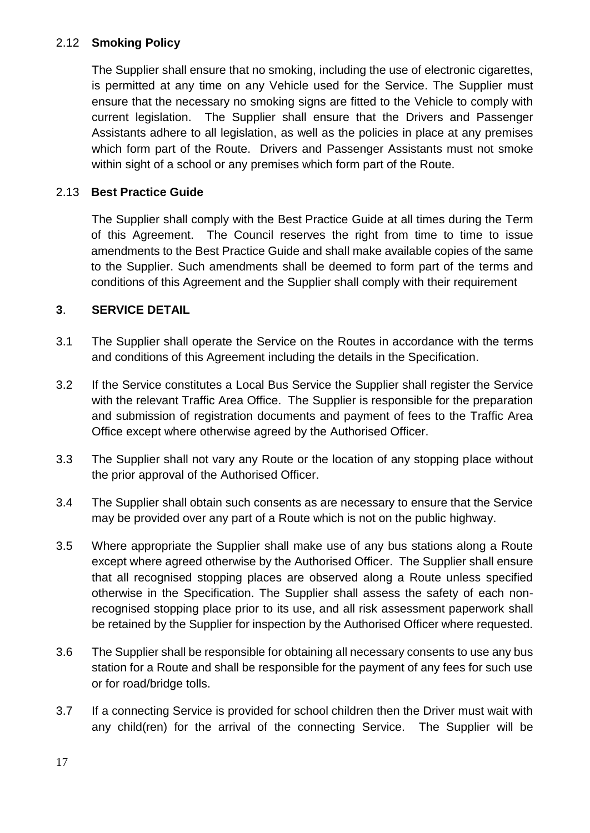### 2.12 **Smoking Policy**

The Supplier shall ensure that no smoking, including the use of electronic cigarettes, is permitted at any time on any Vehicle used for the Service. The Supplier must ensure that the necessary no smoking signs are fitted to the Vehicle to comply with current legislation. The Supplier shall ensure that the Drivers and Passenger Assistants adhere to all legislation, as well as the policies in place at any premises which form part of the Route. Drivers and Passenger Assistants must not smoke within sight of a school or any premises which form part of the Route.

### 2.13 **Best Practice Guide**

The Supplier shall comply with the Best Practice Guide at all times during the Term of this Agreement. The Council reserves the right from time to time to issue amendments to the Best Practice Guide and shall make available copies of the same to the Supplier. Such amendments shall be deemed to form part of the terms and conditions of this Agreement and the Supplier shall comply with their requirement

## **3**. **SERVICE DETAIL**

- 3.1 The Supplier shall operate the Service on the Routes in accordance with the terms and conditions of this Agreement including the details in the Specification.
- 3.2 If the Service constitutes a Local Bus Service the Supplier shall register the Service with the relevant Traffic Area Office. The Supplier is responsible for the preparation and submission of registration documents and payment of fees to the Traffic Area Office except where otherwise agreed by the Authorised Officer.
- 3.3 The Supplier shall not vary any Route or the location of any stopping place without the prior approval of the Authorised Officer.
- 3.4 The Supplier shall obtain such consents as are necessary to ensure that the Service may be provided over any part of a Route which is not on the public highway.
- 3.5 Where appropriate the Supplier shall make use of any bus stations along a Route except where agreed otherwise by the Authorised Officer. The Supplier shall ensure that all recognised stopping places are observed along a Route unless specified otherwise in the Specification. The Supplier shall assess the safety of each nonrecognised stopping place prior to its use, and all risk assessment paperwork shall be retained by the Supplier for inspection by the Authorised Officer where requested.
- 3.6 The Supplier shall be responsible for obtaining all necessary consents to use any bus station for a Route and shall be responsible for the payment of any fees for such use or for road/bridge tolls.
- 3.7 If a connecting Service is provided for school children then the Driver must wait with any child(ren) for the arrival of the connecting Service. The Supplier will be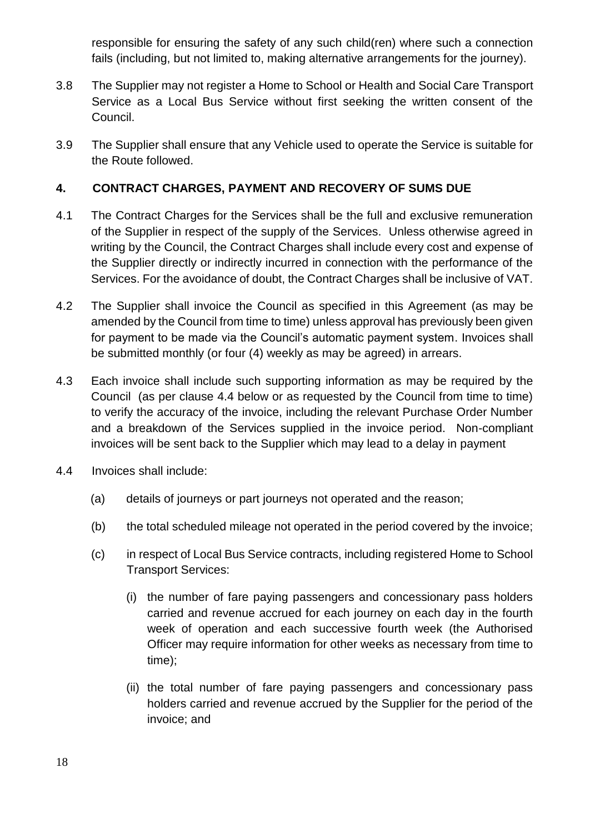responsible for ensuring the safety of any such child(ren) where such a connection fails (including, but not limited to, making alternative arrangements for the journey).

- 3.8 The Supplier may not register a Home to School or Health and Social Care Transport Service as a Local Bus Service without first seeking the written consent of the Council.
- 3.9 The Supplier shall ensure that any Vehicle used to operate the Service is suitable for the Route followed.

### **4. CONTRACT CHARGES, PAYMENT AND RECOVERY OF SUMS DUE**

- 4.1 The Contract Charges for the Services shall be the full and exclusive remuneration of the Supplier in respect of the supply of the Services. Unless otherwise agreed in writing by the Council, the Contract Charges shall include every cost and expense of the Supplier directly or indirectly incurred in connection with the performance of the Services. For the avoidance of doubt, the Contract Charges shall be inclusive of VAT.
- 4.2 The Supplier shall invoice the Council as specified in this Agreement (as may be amended by the Council from time to time) unless approval has previously been given for payment to be made via the Council's automatic payment system. Invoices shall be submitted monthly (or four (4) weekly as may be agreed) in arrears.
- 4.3 Each invoice shall include such supporting information as may be required by the Council (as per clause 4.4 below or as requested by the Council from time to time) to verify the accuracy of the invoice, including the relevant Purchase Order Number and a breakdown of the Services supplied in the invoice period. Non-compliant invoices will be sent back to the Supplier which may lead to a delay in payment
- 4.4 Invoices shall include:
	- (a) details of journeys or part journeys not operated and the reason;
	- (b) the total scheduled mileage not operated in the period covered by the invoice;
	- (c) in respect of Local Bus Service contracts, including registered Home to School Transport Services:
		- (i) the number of fare paying passengers and concessionary pass holders carried and revenue accrued for each journey on each day in the fourth week of operation and each successive fourth week (the Authorised Officer may require information for other weeks as necessary from time to time);
		- (ii) the total number of fare paying passengers and concessionary pass holders carried and revenue accrued by the Supplier for the period of the invoice; and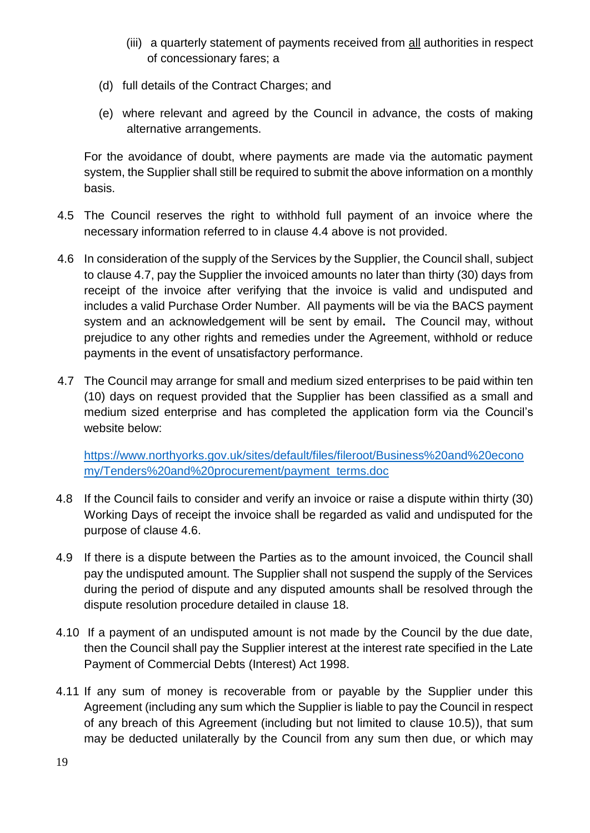- (iii) a quarterly statement of payments received from all authorities in respect of concessionary fares; a
- (d) full details of the Contract Charges; and
- (e) where relevant and agreed by the Council in advance, the costs of making alternative arrangements.

For the avoidance of doubt, where payments are made via the automatic payment system, the Supplier shall still be required to submit the above information on a monthly basis.

- 4.5 The Council reserves the right to withhold full payment of an invoice where the necessary information referred to in clause 4.4 above is not provided.
- 4.6 In consideration of the supply of the Services by the Supplier, the Council shall, subject to clause 4.7, pay the Supplier the invoiced amounts no later than thirty (30) days from receipt of the invoice after verifying that the invoice is valid and undisputed and includes a valid Purchase Order Number. All payments will be via the BACS payment system and an acknowledgement will be sent by email**.** The Council may, without prejudice to any other rights and remedies under the Agreement, withhold or reduce payments in the event of unsatisfactory performance.
- 4.7 The Council may arrange for small and medium sized enterprises to be paid within ten (10) days on request provided that the Supplier has been classified as a small and medium sized enterprise and has completed the application form via the Council's website below:

[https://www.northyorks.gov.uk/sites/default/files/fileroot/Business%20and%20econo](https://www.northyorks.gov.uk/sites/default/files/fileroot/Business%20and%20economy/Tenders%20and%20procurement/payment_terms.doc) [my/Tenders%20and%20procurement/payment\\_terms.doc](https://www.northyorks.gov.uk/sites/default/files/fileroot/Business%20and%20economy/Tenders%20and%20procurement/payment_terms.doc)

- 4.8 If the Council fails to consider and verify an invoice or raise a dispute within thirty (30) Working Days of receipt the invoice shall be regarded as valid and undisputed for the purpose of clause 4.6.
- 4.9 If there is a dispute between the Parties as to the amount invoiced, the Council shall pay the undisputed amount. The Supplier shall not suspend the supply of the Services during the period of dispute and any disputed amounts shall be resolved through the dispute resolution procedure detailed in clause 18.
- 4.10 If a payment of an undisputed amount is not made by the Council by the due date, then the Council shall pay the Supplier interest at the interest rate specified in the Late Payment of Commercial Debts (Interest) Act 1998.
- 4.11 If any sum of money is recoverable from or payable by the Supplier under this Agreement (including any sum which the Supplier is liable to pay the Council in respect of any breach of this Agreement (including but not limited to clause 10.5)), that sum may be deducted unilaterally by the Council from any sum then due, or which may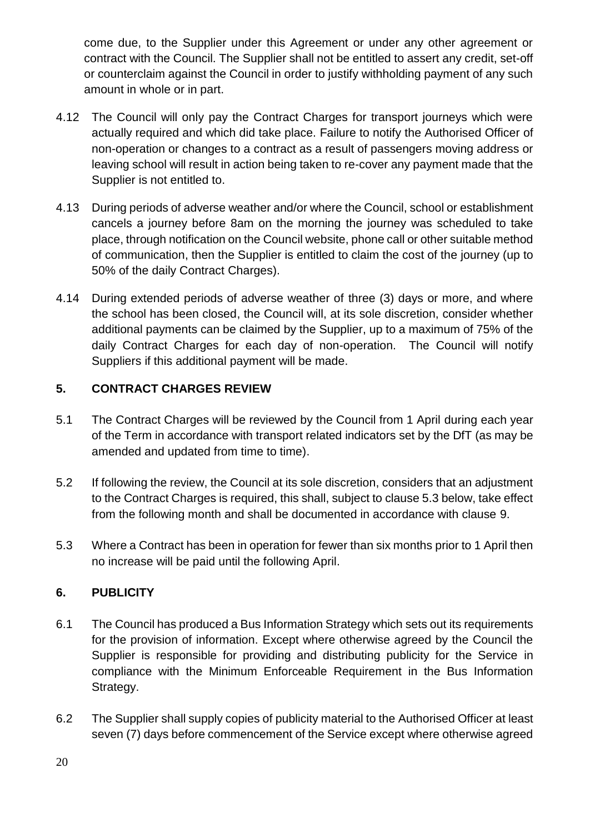come due, to the Supplier under this Agreement or under any other agreement or contract with the Council. The Supplier shall not be entitled to assert any credit, set-off or counterclaim against the Council in order to justify withholding payment of any such amount in whole or in part.

- 4.12 The Council will only pay the Contract Charges for transport journeys which were actually required and which did take place. Failure to notify the Authorised Officer of non-operation or changes to a contract as a result of passengers moving address or leaving school will result in action being taken to re-cover any payment made that the Supplier is not entitled to.
- 4.13 During periods of adverse weather and/or where the Council, school or establishment cancels a journey before 8am on the morning the journey was scheduled to take place, through notification on the Council website, phone call or other suitable method of communication, then the Supplier is entitled to claim the cost of the journey (up to 50% of the daily Contract Charges).
- 4.14 During extended periods of adverse weather of three (3) days or more, and where the school has been closed, the Council will, at its sole discretion, consider whether additional payments can be claimed by the Supplier, up to a maximum of 75% of the daily Contract Charges for each day of non-operation. The Council will notify Suppliers if this additional payment will be made.

## **5. CONTRACT CHARGES REVIEW**

- 5.1 The Contract Charges will be reviewed by the Council from 1 April during each year of the Term in accordance with transport related indicators set by the DfT (as may be amended and updated from time to time).
- 5.2 If following the review, the Council at its sole discretion, considers that an adjustment to the Contract Charges is required, this shall, subject to clause 5.3 below, take effect from the following month and shall be documented in accordance with clause 9.
- 5.3 Where a Contract has been in operation for fewer than six months prior to 1 April then no increase will be paid until the following April.

### **6. PUBLICITY**

- 6.1 The Council has produced a Bus Information Strategy which sets out its requirements for the provision of information. Except where otherwise agreed by the Council the Supplier is responsible for providing and distributing publicity for the Service in compliance with the Minimum Enforceable Requirement in the Bus Information Strategy.
- 6.2 The Supplier shall supply copies of publicity material to the Authorised Officer at least seven (7) days before commencement of the Service except where otherwise agreed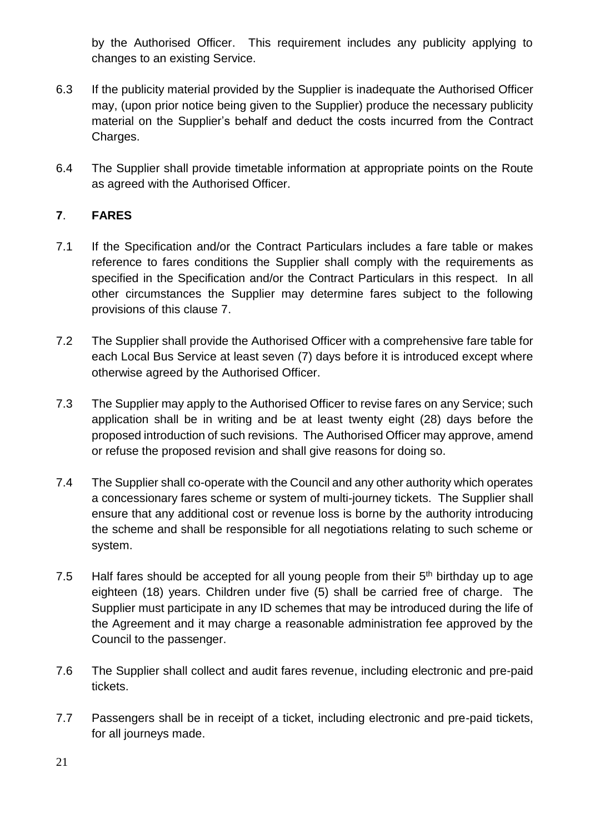by the Authorised Officer. This requirement includes any publicity applying to changes to an existing Service.

- 6.3 If the publicity material provided by the Supplier is inadequate the Authorised Officer may, (upon prior notice being given to the Supplier) produce the necessary publicity material on the Supplier's behalf and deduct the costs incurred from the Contract Charges.
- 6.4 The Supplier shall provide timetable information at appropriate points on the Route as agreed with the Authorised Officer.

## **7**. **FARES**

- 7.1 If the Specification and/or the Contract Particulars includes a fare table or makes reference to fares conditions the Supplier shall comply with the requirements as specified in the Specification and/or the Contract Particulars in this respect. In all other circumstances the Supplier may determine fares subject to the following provisions of this clause 7.
- 7.2 The Supplier shall provide the Authorised Officer with a comprehensive fare table for each Local Bus Service at least seven (7) days before it is introduced except where otherwise agreed by the Authorised Officer.
- 7.3 The Supplier may apply to the Authorised Officer to revise fares on any Service; such application shall be in writing and be at least twenty eight (28) days before the proposed introduction of such revisions. The Authorised Officer may approve, amend or refuse the proposed revision and shall give reasons for doing so.
- 7.4 The Supplier shall co-operate with the Council and any other authority which operates a concessionary fares scheme or system of multi-journey tickets. The Supplier shall ensure that any additional cost or revenue loss is borne by the authority introducing the scheme and shall be responsible for all negotiations relating to such scheme or system.
- 7.5 Half fares should be accepted for all young people from their  $5<sup>th</sup>$  birthday up to age eighteen (18) years. Children under five (5) shall be carried free of charge. The Supplier must participate in any ID schemes that may be introduced during the life of the Agreement and it may charge a reasonable administration fee approved by the Council to the passenger.
- 7.6 The Supplier shall collect and audit fares revenue, including electronic and pre-paid tickets.
- 7.7 Passengers shall be in receipt of a ticket, including electronic and pre-paid tickets, for all journeys made.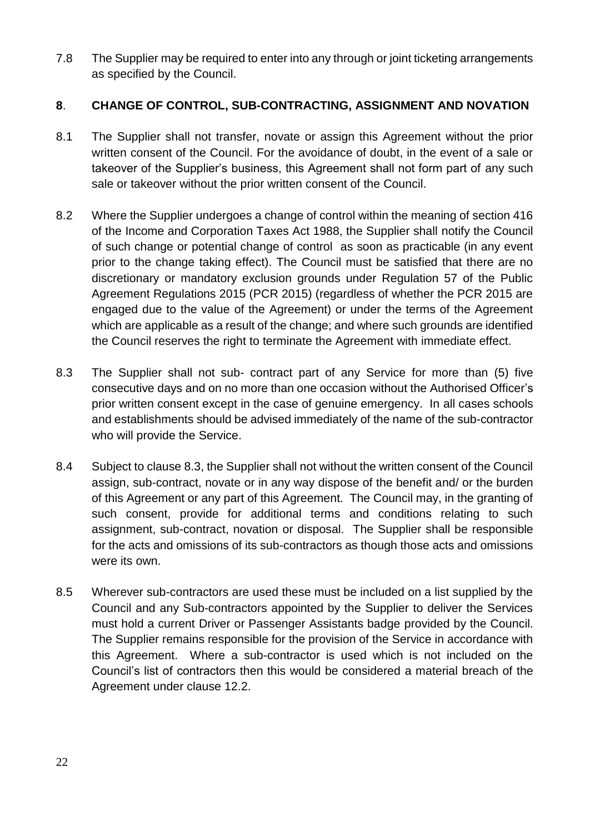7.8 The Supplier may be required to enter into any through or joint ticketing arrangements as specified by the Council.

### **8**. **CHANGE OF CONTROL, SUB-CONTRACTING, ASSIGNMENT AND NOVATION**

- 8.1 The Supplier shall not transfer, novate or assign this Agreement without the prior written consent of the Council. For the avoidance of doubt, in the event of a sale or takeover of the Supplier's business, this Agreement shall not form part of any such sale or takeover without the prior written consent of the Council.
- 8.2 Where the Supplier undergoes a change of control within the meaning of section 416 of the Income and Corporation Taxes Act 1988, the Supplier shall notify the Council of such change or potential change of control as soon as practicable (in any event prior to the change taking effect). The Council must be satisfied that there are no discretionary or mandatory exclusion grounds under Regulation 57 of the Public Agreement Regulations 2015 (PCR 2015) (regardless of whether the PCR 2015 are engaged due to the value of the Agreement) or under the terms of the Agreement which are applicable as a result of the change; and where such grounds are identified the Council reserves the right to terminate the Agreement with immediate effect.
- 8.3 The Supplier shall not sub- contract part of any Service for more than (5) five consecutive days and on no more than one occasion without the Authorised Officer's prior written consent except in the case of genuine emergency. In all cases schools and establishments should be advised immediately of the name of the sub-contractor who will provide the Service.
- 8.4 Subject to clause 8.3, the Supplier shall not without the written consent of the Council assign, sub-contract, novate or in any way dispose of the benefit and/ or the burden of this Agreement or any part of this Agreement. The Council may, in the granting of such consent, provide for additional terms and conditions relating to such assignment, sub-contract, novation or disposal. The Supplier shall be responsible for the acts and omissions of its sub-contractors as though those acts and omissions were its own.
- 8.5 Wherever sub-contractors are used these must be included on a list supplied by the Council and any Sub-contractors appointed by the Supplier to deliver the Services must hold a current Driver or Passenger Assistants badge provided by the Council. The Supplier remains responsible for the provision of the Service in accordance with this Agreement. Where a sub-contractor is used which is not included on the Council's list of contractors then this would be considered a material breach of the Agreement under clause 12.2.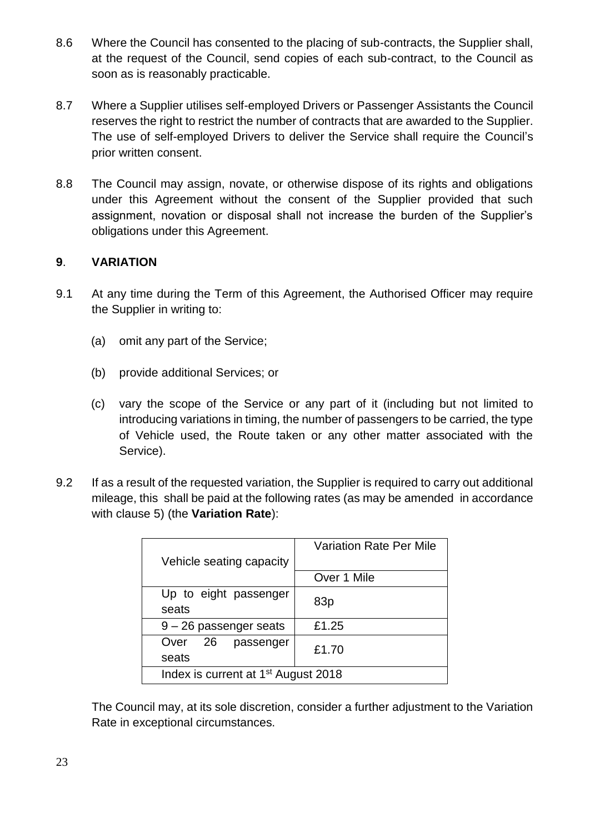- 8.6 Where the Council has consented to the placing of sub-contracts, the Supplier shall, at the request of the Council, send copies of each sub-contract, to the Council as soon as is reasonably practicable.
- 8.7 Where a Supplier utilises self-employed Drivers or Passenger Assistants the Council reserves the right to restrict the number of contracts that are awarded to the Supplier. The use of self-employed Drivers to deliver the Service shall require the Council's prior written consent.
- 8.8 The Council may assign, novate, or otherwise dispose of its rights and obligations under this Agreement without the consent of the Supplier provided that such assignment, novation or disposal shall not increase the burden of the Supplier's obligations under this Agreement.

### **9**. **VARIATION**

- 9.1 At any time during the Term of this Agreement, the Authorised Officer may require the Supplier in writing to:
	- (a) omit any part of the Service;
	- (b) provide additional Services; or
	- (c) vary the scope of the Service or any part of it (including but not limited to introducing variations in timing, the number of passengers to be carried, the type of Vehicle used, the Route taken or any other matter associated with the Service).
- 9.2 If as a result of the requested variation, the Supplier is required to carry out additional mileage, this shall be paid at the following rates (as may be amended in accordance with clause 5) (the **Variation Rate**):

|                                                 | Variation Rate Per Mile |  |
|-------------------------------------------------|-------------------------|--|
| Vehicle seating capacity                        |                         |  |
|                                                 | Over 1 Mile             |  |
| Up to eight passenger                           |                         |  |
| seats                                           | 83p                     |  |
| $9 - 26$ passenger seats                        | £1.25                   |  |
| Over 26<br>passenger                            | £1.70                   |  |
| seats                                           |                         |  |
| Index is current at 1 <sup>st</sup> August 2018 |                         |  |

The Council may, at its sole discretion, consider a further adjustment to the Variation Rate in exceptional circumstances.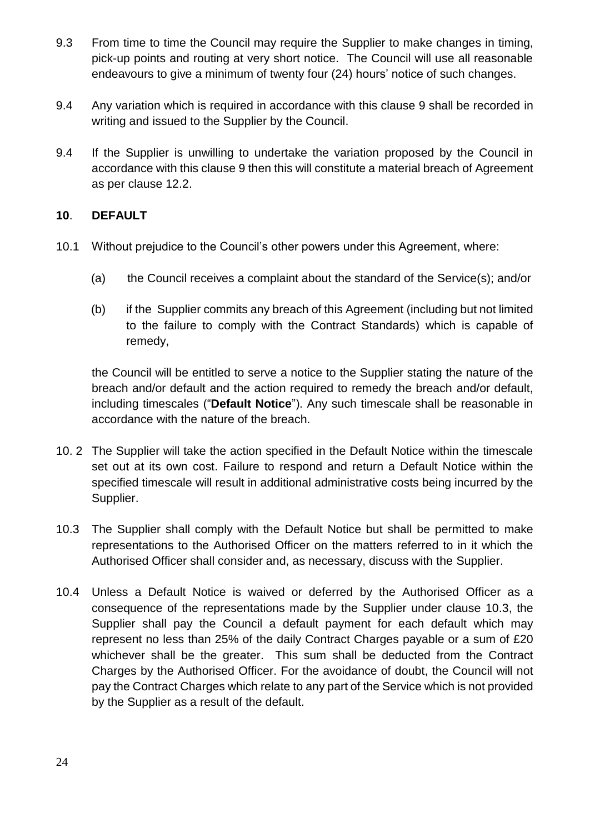- 9.3 From time to time the Council may require the Supplier to make changes in timing, pick-up points and routing at very short notice. The Council will use all reasonable endeavours to give a minimum of twenty four (24) hours' notice of such changes.
- 9.4 Any variation which is required in accordance with this clause 9 shall be recorded in writing and issued to the Supplier by the Council.
- 9.4 If the Supplier is unwilling to undertake the variation proposed by the Council in accordance with this clause 9 then this will constitute a material breach of Agreement as per clause 12.2.

### **10**. **DEFAULT**

- 10.1 Without prejudice to the Council's other powers under this Agreement, where:
	- (a) the Council receives a complaint about the standard of the Service(s); and/or
	- (b) if the Supplier commits any breach of this Agreement (including but not limited to the failure to comply with the Contract Standards) which is capable of remedy,

the Council will be entitled to serve a notice to the Supplier stating the nature of the breach and/or default and the action required to remedy the breach and/or default, including timescales ("**Default Notice**"). Any such timescale shall be reasonable in accordance with the nature of the breach.

- 10. 2 The Supplier will take the action specified in the Default Notice within the timescale set out at its own cost. Failure to respond and return a Default Notice within the specified timescale will result in additional administrative costs being incurred by the Supplier.
- 10.3 The Supplier shall comply with the Default Notice but shall be permitted to make representations to the Authorised Officer on the matters referred to in it which the Authorised Officer shall consider and, as necessary, discuss with the Supplier.
- 10.4 Unless a Default Notice is waived or deferred by the Authorised Officer as a consequence of the representations made by the Supplier under clause 10.3, the Supplier shall pay the Council a default payment for each default which may represent no less than 25% of the daily Contract Charges payable or a sum of £20 whichever shall be the greater. This sum shall be deducted from the Contract Charges by the Authorised Officer. For the avoidance of doubt, the Council will not pay the Contract Charges which relate to any part of the Service which is not provided by the Supplier as a result of the default.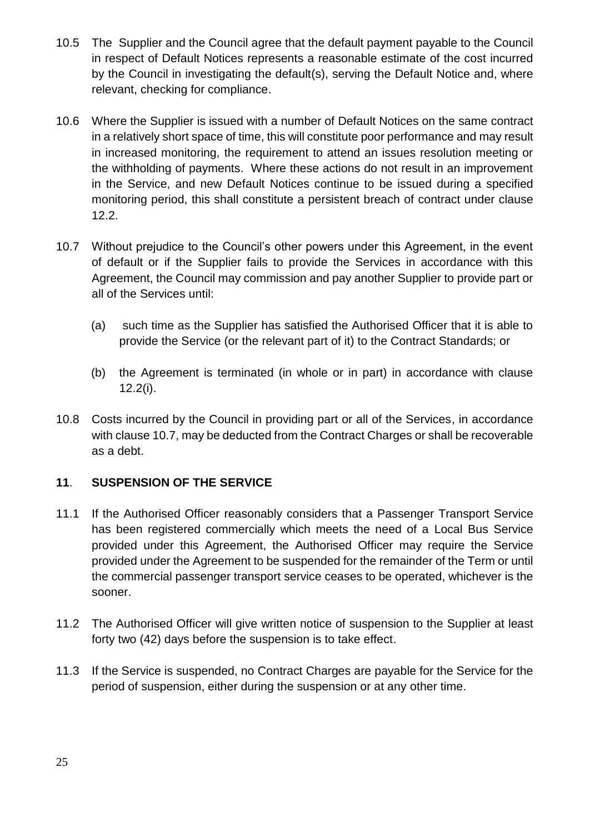- 10.5 The Supplier and the Council agree that the default payment payable to the Council in respect of Default Notices represents a reasonable estimate of the cost incurred by the Council in investigating the default(s), serving the Default Notice and, where relevant, checking for compliance.
- 10.6 Where the Supplier is issued with a number of Default Notices on the same contract in a relatively short space of time, this will constitute poor performance and may result in increased monitoring, the requirement to attend an issues resolution meeting or the withholding of payments. Where these actions do not result in an improvement in the Service, and new Default Notices continue to be issued during a specified monitoring period, this shall constitute a persistent breach of contract under clause 12.2.
- 10.7 Without prejudice to the Council's other powers under this Agreement, in the event of default or if the Supplier fails to provide the Services in accordance with this Agreement, the Council may commission and pay another Supplier to provide part or all of the Services until:
	- (a) such time as the Supplier has satisfied the Authorised Officer that it is able to provide the Service (or the relevant part of it) to the Contract Standards; or
	- (b) the Agreement is terminated (in whole or in part) in accordance with clause 12.2(i).
- 10.8 Costs incurred by the Council in providing part or all of the Services, in accordance with clause 10.7, may be deducted from the Contract Charges or shall be recoverable as a debt.

## **11**. **SUSPENSION OF THE SERVICE**

- 11.1 If the Authorised Officer reasonably considers that a Passenger Transport Service has been registered commercially which meets the need of a Local Bus Service provided under this Agreement, the Authorised Officer may require the Service provided under the Agreement to be suspended for the remainder of the Term or until the commercial passenger transport service ceases to be operated, whichever is the sooner.
- 11.2 The Authorised Officer will give written notice of suspension to the Supplier at least forty two (42) days before the suspension is to take effect.
- 11.3 If the Service is suspended, no Contract Charges are payable for the Service for the period of suspension, either during the suspension or at any other time.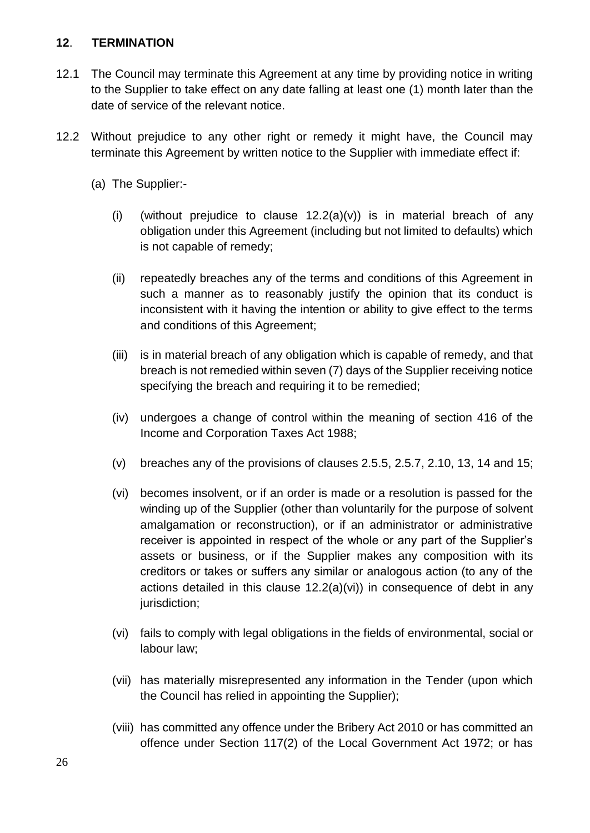#### **12**. **TERMINATION**

- 12.1 The Council may terminate this Agreement at any time by providing notice in writing to the Supplier to take effect on any date falling at least one (1) month later than the date of service of the relevant notice.
- 12.2 Without prejudice to any other right or remedy it might have, the Council may terminate this Agreement by written notice to the Supplier with immediate effect if:
	- (a) The Supplier:-
		- (i) (without prejudice to clause  $12.2(a)(v)$ ) is in material breach of any obligation under this Agreement (including but not limited to defaults) which is not capable of remedy;
		- (ii) repeatedly breaches any of the terms and conditions of this Agreement in such a manner as to reasonably justify the opinion that its conduct is inconsistent with it having the intention or ability to give effect to the terms and conditions of this Agreement;
		- (iii) is in material breach of any obligation which is capable of remedy, and that breach is not remedied within seven (7) days of the Supplier receiving notice specifying the breach and requiring it to be remedied;
		- (iv) undergoes a change of control within the meaning of section 416 of the Income and Corporation Taxes Act 1988;
		- (v) breaches any of the provisions of clauses 2.5.5, 2.5.7, 2.10, 13, 14 and 15;
		- (vi) becomes insolvent, or if an order is made or a resolution is passed for the winding up of the Supplier (other than voluntarily for the purpose of solvent amalgamation or reconstruction), or if an administrator or administrative receiver is appointed in respect of the whole or any part of the Supplier's assets or business, or if the Supplier makes any composition with its creditors or takes or suffers any similar or analogous action (to any of the actions detailed in this clause 12.2(a)(vi)) in consequence of debt in any jurisdiction;
		- (vi) fails to comply with legal obligations in the fields of environmental, social or labour law;
		- (vii) has materially misrepresented any information in the Tender (upon which the Council has relied in appointing the Supplier);
		- (viii) has committed any offence under the Bribery Act 2010 or has committed an offence under Section 117(2) of the Local Government Act 1972; or has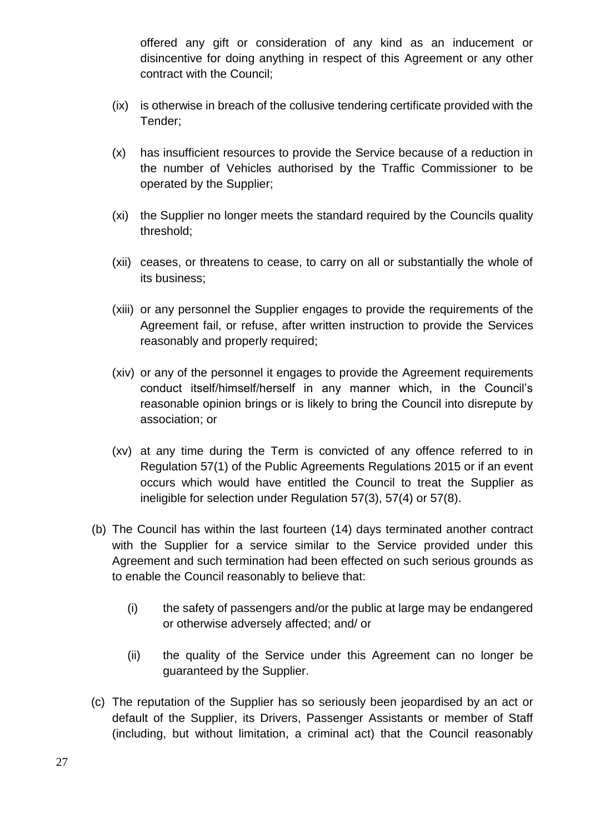offered any gift or consideration of any kind as an inducement or disincentive for doing anything in respect of this Agreement or any other contract with the Council;

- (ix) is otherwise in breach of the collusive tendering certificate provided with the Tender;
- (x) has insufficient resources to provide the Service because of a reduction in the number of Vehicles authorised by the Traffic Commissioner to be operated by the Supplier;
- (xi) the Supplier no longer meets the standard required by the Councils quality threshold;
- (xii) ceases, or threatens to cease, to carry on all or substantially the whole of its business;
- (xiii) or any personnel the Supplier engages to provide the requirements of the Agreement fail, or refuse, after written instruction to provide the Services reasonably and properly required;
- (xiv) or any of the personnel it engages to provide the Agreement requirements conduct itself/himself/herself in any manner which, in the Council's reasonable opinion brings or is likely to bring the Council into disrepute by association; or
- (xv) at any time during the Term is convicted of any offence referred to in Regulation 57(1) of the Public Agreements Regulations 2015 or if an event occurs which would have entitled the Council to treat the Supplier as ineligible for selection under Regulation 57(3), 57(4) or 57(8).
- (b) The Council has within the last fourteen (14) days terminated another contract with the Supplier for a service similar to the Service provided under this Agreement and such termination had been effected on such serious grounds as to enable the Council reasonably to believe that:
	- (i) the safety of passengers and/or the public at large may be endangered or otherwise adversely affected; and/ or
	- (ii) the quality of the Service under this Agreement can no longer be guaranteed by the Supplier.
- (c) The reputation of the Supplier has so seriously been jeopardised by an act or default of the Supplier, its Drivers, Passenger Assistants or member of Staff (including, but without limitation, a criminal act) that the Council reasonably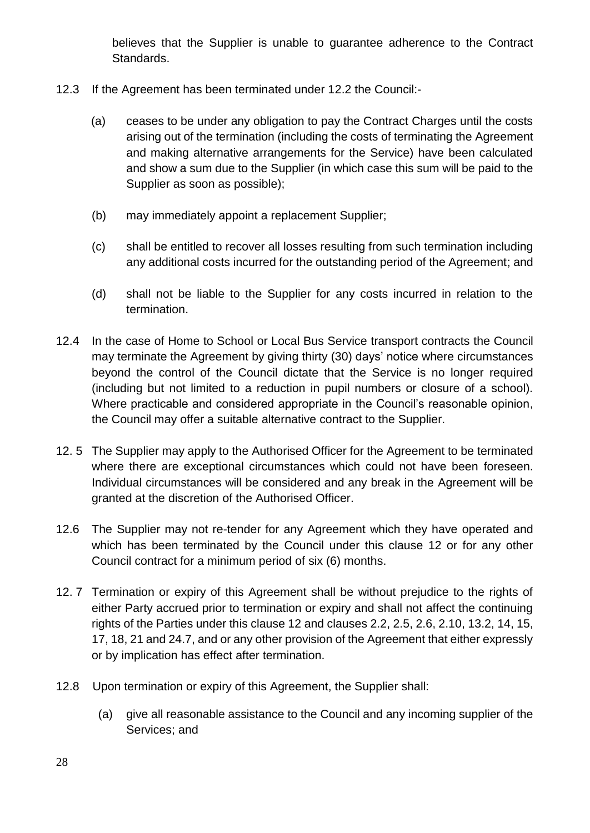believes that the Supplier is unable to guarantee adherence to the Contract Standards.

- 12.3 If the Agreement has been terminated under 12.2 the Council:-
	- (a) ceases to be under any obligation to pay the Contract Charges until the costs arising out of the termination (including the costs of terminating the Agreement and making alternative arrangements for the Service) have been calculated and show a sum due to the Supplier (in which case this sum will be paid to the Supplier as soon as possible);
	- (b) may immediately appoint a replacement Supplier;
	- (c) shall be entitled to recover all losses resulting from such termination including any additional costs incurred for the outstanding period of the Agreement; and
	- (d) shall not be liable to the Supplier for any costs incurred in relation to the termination.
- 12.4 In the case of Home to School or Local Bus Service transport contracts the Council may terminate the Agreement by giving thirty (30) days' notice where circumstances beyond the control of the Council dictate that the Service is no longer required (including but not limited to a reduction in pupil numbers or closure of a school). Where practicable and considered appropriate in the Council's reasonable opinion, the Council may offer a suitable alternative contract to the Supplier.
- 12. 5 The Supplier may apply to the Authorised Officer for the Agreement to be terminated where there are exceptional circumstances which could not have been foreseen. Individual circumstances will be considered and any break in the Agreement will be granted at the discretion of the Authorised Officer.
- 12.6 The Supplier may not re-tender for any Agreement which they have operated and which has been terminated by the Council under this clause 12 or for any other Council contract for a minimum period of six (6) months.
- 12. 7 Termination or expiry of this Agreement shall be without prejudice to the rights of either Party accrued prior to termination or expiry and shall not affect the continuing rights of the Parties under this clause 12 and clauses 2.2, 2.5, 2.6, 2.10, 13.2, 14, 15, 17, 18, 21 and 24.7, and or any other provision of the Agreement that either expressly or by implication has effect after termination.
- 12.8 Upon termination or expiry of this Agreement, the Supplier shall:
	- (a) give all reasonable assistance to the Council and any incoming supplier of the Services; and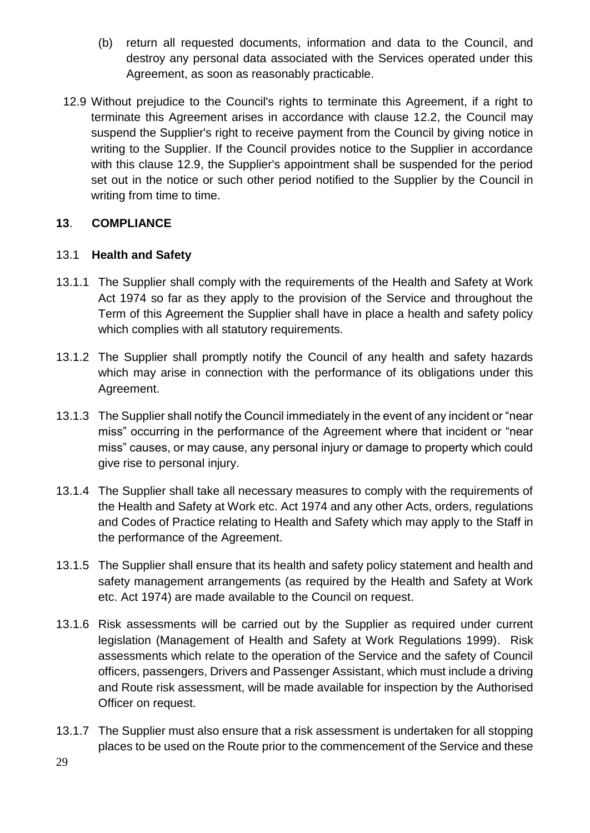- (b) return all requested documents, information and data to the Council, and destroy any personal data associated with the Services operated under this Agreement, as soon as reasonably practicable.
- 12.9 Without prejudice to the Council's rights to terminate this Agreement, if a right to terminate this Agreement arises in accordance with clause 12.2, the Council may suspend the Supplier's right to receive payment from the Council by giving notice in writing to the Supplier. If the Council provides notice to the Supplier in accordance with this clause 12.9, the Supplier's appointment shall be suspended for the period set out in the notice or such other period notified to the Supplier by the Council in writing from time to time.

### **13**. **COMPLIANCE**

### 13.1 **Health and Safety**

- 13.1.1 The Supplier shall comply with the requirements of the Health and Safety at Work Act 1974 so far as they apply to the provision of the Service and throughout the Term of this Agreement the Supplier shall have in place a health and safety policy which complies with all statutory requirements.
- 13.1.2 The Supplier shall promptly notify the Council of any health and safety hazards which may arise in connection with the performance of its obligations under this Agreement.
- 13.1.3 The Supplier shall notify the Council immediately in the event of any incident or "near miss" occurring in the performance of the Agreement where that incident or "near miss" causes, or may cause, any personal injury or damage to property which could give rise to personal injury.
- 13.1.4 The Supplier shall take all necessary measures to comply with the requirements of the Health and Safety at Work etc. Act 1974 and any other Acts, orders, regulations and Codes of Practice relating to Health and Safety which may apply to the Staff in the performance of the Agreement.
- 13.1.5 The Supplier shall ensure that its health and safety policy statement and health and safety management arrangements (as required by the Health and Safety at Work etc. Act 1974) are made available to the Council on request.
- 13.1.6 Risk assessments will be carried out by the Supplier as required under current legislation (Management of Health and Safety at Work Regulations 1999). Risk assessments which relate to the operation of the Service and the safety of Council officers, passengers, Drivers and Passenger Assistant, which must include a driving and Route risk assessment, will be made available for inspection by the Authorised Officer on request.
- 13.1.7 The Supplier must also ensure that a risk assessment is undertaken for all stopping places to be used on the Route prior to the commencement of the Service and these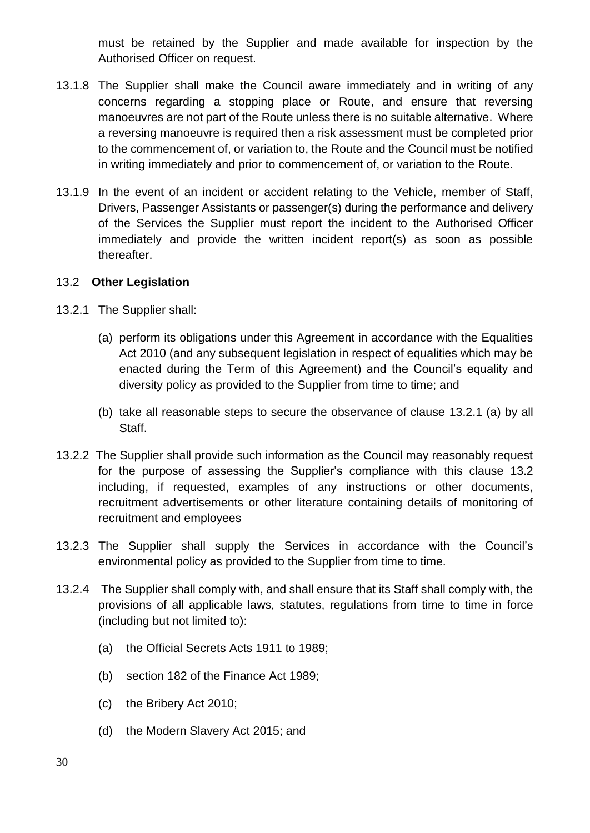must be retained by the Supplier and made available for inspection by the Authorised Officer on request.

- 13.1.8 The Supplier shall make the Council aware immediately and in writing of any concerns regarding a stopping place or Route, and ensure that reversing manoeuvres are not part of the Route unless there is no suitable alternative. Where a reversing manoeuvre is required then a risk assessment must be completed prior to the commencement of, or variation to, the Route and the Council must be notified in writing immediately and prior to commencement of, or variation to the Route.
- 13.1.9 In the event of an incident or accident relating to the Vehicle, member of Staff, Drivers, Passenger Assistants or passenger(s) during the performance and delivery of the Services the Supplier must report the incident to the Authorised Officer immediately and provide the written incident report(s) as soon as possible thereafter.

#### 13.2 **Other Legislation**

- 13.2.1 The Supplier shall:
	- (a) perform its obligations under this Agreement in accordance with the Equalities Act 2010 (and any subsequent legislation in respect of equalities which may be enacted during the Term of this Agreement) and the Council's equality and diversity policy as provided to the Supplier from time to time; and
	- (b) take all reasonable steps to secure the observance of clause 13.2.1 (a) by all Staff.
- 13.2.2 The Supplier shall provide such information as the Council may reasonably request for the purpose of assessing the Supplier's compliance with this clause 13.2 including, if requested, examples of any instructions or other documents, recruitment advertisements or other literature containing details of monitoring of recruitment and employees
- 13.2.3 The Supplier shall supply the Services in accordance with the Council's environmental policy as provided to the Supplier from time to time.
- 13.2.4 The Supplier shall comply with, and shall ensure that its Staff shall comply with, the provisions of all applicable laws, statutes, regulations from time to time in force (including but not limited to):
	- (a) the Official Secrets Acts 1911 to 1989;
	- (b) section 182 of the Finance Act 1989;
	- (c) the Bribery Act 2010;
	- (d) the Modern Slavery Act 2015; and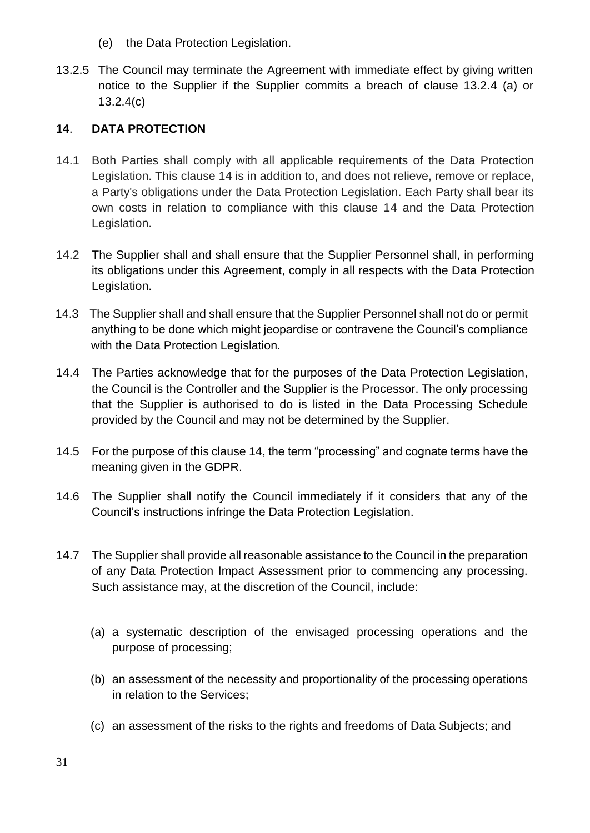- (e) the Data Protection Legislation.
- 13.2.5 The Council may terminate the Agreement with immediate effect by giving written notice to the Supplier if the Supplier commits a breach of clause 13.2.4 (a) or 13.2.4(c)

### **14**. **DATA PROTECTION**

- 14.1 Both Parties shall comply with all applicable requirements of the Data Protection Legislation. This clause 14 is in addition to, and does not relieve, remove or replace, a Party's obligations under the Data Protection Legislation. Each Party shall bear its own costs in relation to compliance with this clause 14 and the Data Protection Legislation.
- 14.2 The Supplier shall and shall ensure that the Supplier Personnel shall, in performing its obligations under this Agreement, comply in all respects with the Data Protection Legislation.
- 14.3 The Supplier shall and shall ensure that the Supplier Personnel shall not do or permit anything to be done which might jeopardise or contravene the Council's compliance with the Data Protection Legislation.
- 14.4 The Parties acknowledge that for the purposes of the Data Protection Legislation, the Council is the Controller and the Supplier is the Processor. The only processing that the Supplier is authorised to do is listed in the Data Processing Schedule provided by the Council and may not be determined by the Supplier.
- 14.5 For the purpose of this clause 14, the term "processing" and cognate terms have the meaning given in the GDPR.
- 14.6 The Supplier shall notify the Council immediately if it considers that any of the Council's instructions infringe the Data Protection Legislation.
- 14.7 The Supplier shall provide all reasonable assistance to the Council in the preparation of any Data Protection Impact Assessment prior to commencing any processing. Such assistance may, at the discretion of the Council, include:
	- (a) a systematic description of the envisaged processing operations and the purpose of processing;
	- (b) an assessment of the necessity and proportionality of the processing operations in relation to the Services;
	- (c) an assessment of the risks to the rights and freedoms of Data Subjects; and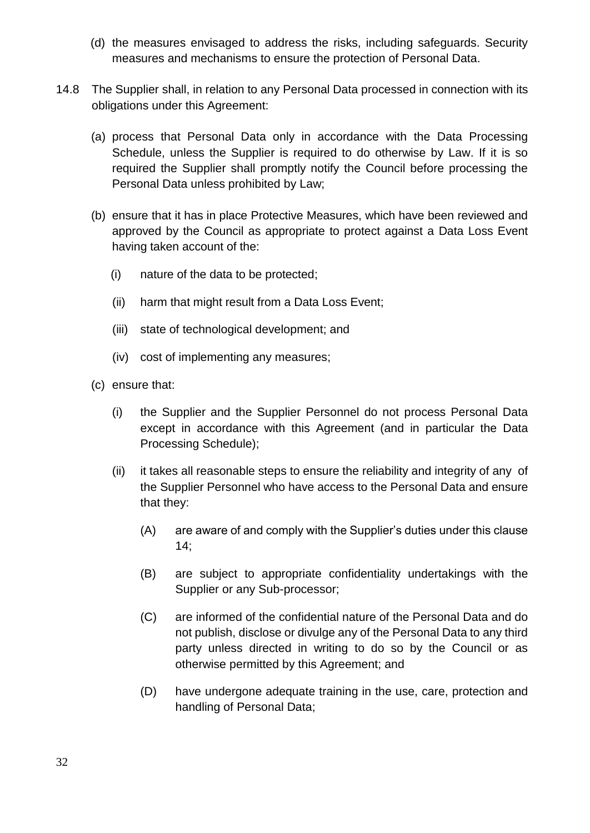- (d) the measures envisaged to address the risks, including safeguards. Security measures and mechanisms to ensure the protection of Personal Data.
- 14.8 The Supplier shall, in relation to any Personal Data processed in connection with its obligations under this Agreement:
	- (a) process that Personal Data only in accordance with the Data Processing Schedule, unless the Supplier is required to do otherwise by Law. If it is so required the Supplier shall promptly notify the Council before processing the Personal Data unless prohibited by Law;
	- (b) ensure that it has in place Protective Measures, which have been reviewed and approved by the Council as appropriate to protect against a Data Loss Event having taken account of the:
		- (i) nature of the data to be protected;
		- (ii) harm that might result from a Data Loss Event;
		- (iii) state of technological development; and
		- (iv) cost of implementing any measures;
	- (c) ensure that:
		- (i) the Supplier and the Supplier Personnel do not process Personal Data except in accordance with this Agreement (and in particular the Data Processing Schedule);
		- (ii) it takes all reasonable steps to ensure the reliability and integrity of any of the Supplier Personnel who have access to the Personal Data and ensure that they:
			- (A) are aware of and comply with the Supplier's duties under this clause 14;
			- (B) are subject to appropriate confidentiality undertakings with the Supplier or any Sub-processor;
			- (C) are informed of the confidential nature of the Personal Data and do not publish, disclose or divulge any of the Personal Data to any third party unless directed in writing to do so by the Council or as otherwise permitted by this Agreement; and
			- (D) have undergone adequate training in the use, care, protection and handling of Personal Data;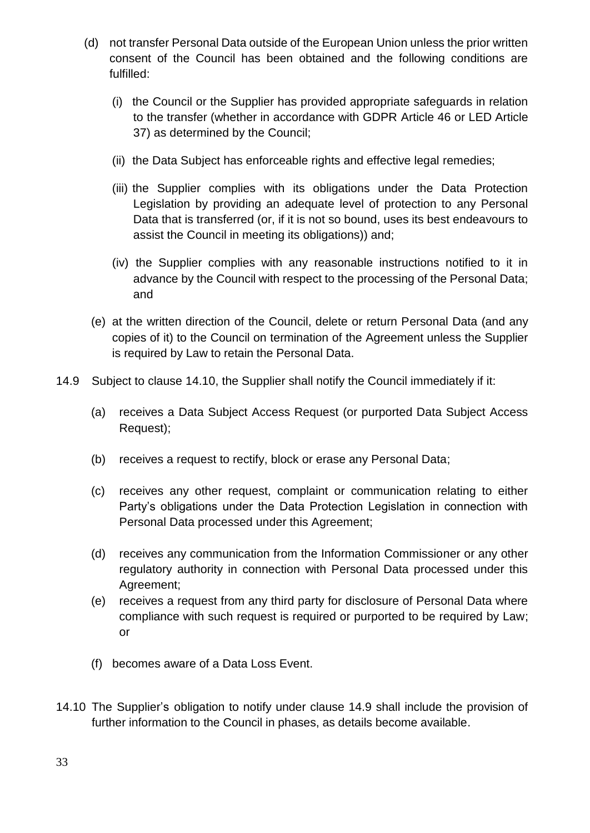- (d) not transfer Personal Data outside of the European Union unless the prior written consent of the Council has been obtained and the following conditions are fulfilled:
	- (i) the Council or the Supplier has provided appropriate safeguards in relation to the transfer (whether in accordance with GDPR Article 46 or LED Article 37) as determined by the Council;
	- (ii) the Data Subject has enforceable rights and effective legal remedies;
	- (iii) the Supplier complies with its obligations under the Data Protection Legislation by providing an adequate level of protection to any Personal Data that is transferred (or, if it is not so bound, uses its best endeavours to assist the Council in meeting its obligations)) and;
	- (iv) the Supplier complies with any reasonable instructions notified to it in advance by the Council with respect to the processing of the Personal Data; and
	- (e) at the written direction of the Council, delete or return Personal Data (and any copies of it) to the Council on termination of the Agreement unless the Supplier is required by Law to retain the Personal Data.
- 14.9 Subject to clause 14.10, the Supplier shall notify the Council immediately if it:
	- (a) receives a Data Subject Access Request (or purported Data Subject Access Request);
	- (b) receives a request to rectify, block or erase any Personal Data;
	- (c) receives any other request, complaint or communication relating to either Party's obligations under the Data Protection Legislation in connection with Personal Data processed under this Agreement;
	- (d) receives any communication from the Information Commissioner or any other regulatory authority in connection with Personal Data processed under this Agreement;
	- (e) receives a request from any third party for disclosure of Personal Data where compliance with such request is required or purported to be required by Law; or
	- (f) becomes aware of a Data Loss Event.
- 14.10 The Supplier's obligation to notify under clause 14.9 shall include the provision of further information to the Council in phases, as details become available.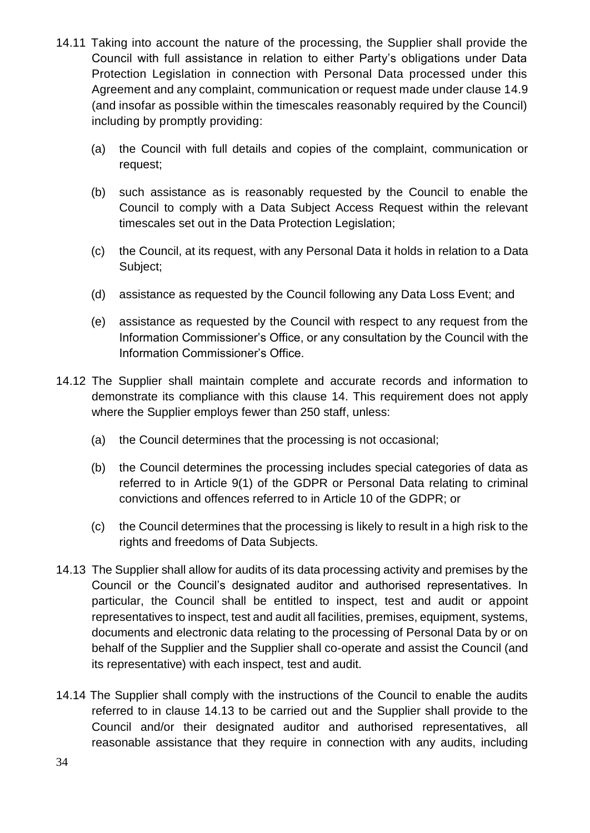- 14.11 Taking into account the nature of the processing, the Supplier shall provide the Council with full assistance in relation to either Party's obligations under Data Protection Legislation in connection with Personal Data processed under this Agreement and any complaint, communication or request made under clause 14.9 (and insofar as possible within the timescales reasonably required by the Council) including by promptly providing:
	- (a) the Council with full details and copies of the complaint, communication or request;
	- (b) such assistance as is reasonably requested by the Council to enable the Council to comply with a Data Subject Access Request within the relevant timescales set out in the Data Protection Legislation;
	- (c) the Council, at its request, with any Personal Data it holds in relation to a Data Subject;
	- (d) assistance as requested by the Council following any Data Loss Event; and
	- (e) assistance as requested by the Council with respect to any request from the Information Commissioner's Office, or any consultation by the Council with the Information Commissioner's Office.
- 14.12 The Supplier shall maintain complete and accurate records and information to demonstrate its compliance with this clause 14. This requirement does not apply where the Supplier employs fewer than 250 staff, unless:
	- (a) the Council determines that the processing is not occasional;
	- (b) the Council determines the processing includes special categories of data as referred to in Article 9(1) of the GDPR or Personal Data relating to criminal convictions and offences referred to in Article 10 of the GDPR; or
	- (c) the Council determines that the processing is likely to result in a high risk to the rights and freedoms of Data Subjects.
- 14.13 The Supplier shall allow for audits of its data processing activity and premises by the Council or the Council's designated auditor and authorised representatives. In particular, the Council shall be entitled to inspect, test and audit or appoint representatives to inspect, test and audit all facilities, premises, equipment, systems, documents and electronic data relating to the processing of Personal Data by or on behalf of the Supplier and the Supplier shall co-operate and assist the Council (and its representative) with each inspect, test and audit.
- 14.14 The Supplier shall comply with the instructions of the Council to enable the audits referred to in clause 14.13 to be carried out and the Supplier shall provide to the Council and/or their designated auditor and authorised representatives, all reasonable assistance that they require in connection with any audits, including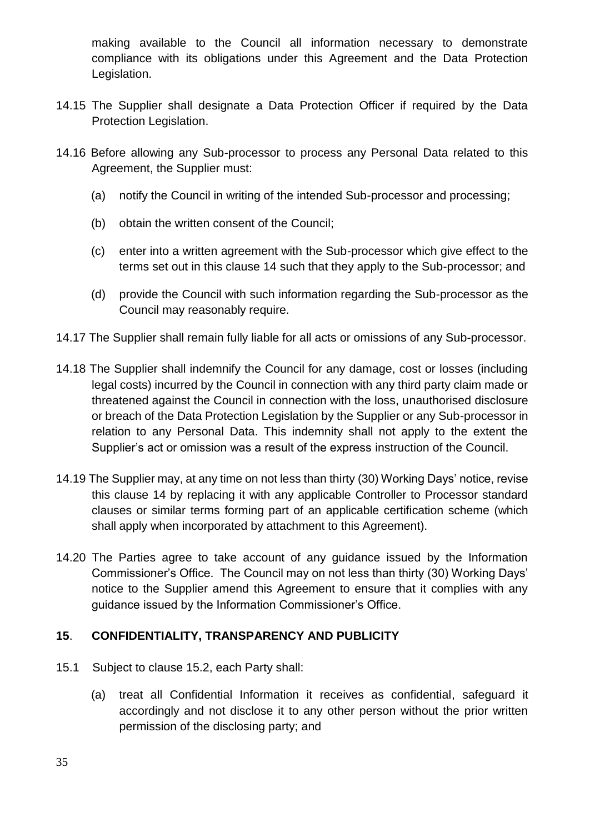making available to the Council all information necessary to demonstrate compliance with its obligations under this Agreement and the Data Protection Legislation.

- 14.15 The Supplier shall designate a Data Protection Officer if required by the Data Protection Legislation.
- 14.16 Before allowing any Sub-processor to process any Personal Data related to this Agreement, the Supplier must:
	- (a) notify the Council in writing of the intended Sub-processor and processing;
	- (b) obtain the written consent of the Council;
	- (c) enter into a written agreement with the Sub-processor which give effect to the terms set out in this clause 14 such that they apply to the Sub-processor; and
	- (d) provide the Council with such information regarding the Sub-processor as the Council may reasonably require.
- 14.17 The Supplier shall remain fully liable for all acts or omissions of any Sub-processor.
- 14.18 The Supplier shall indemnify the Council for any damage, cost or losses (including legal costs) incurred by the Council in connection with any third party claim made or threatened against the Council in connection with the loss, unauthorised disclosure or breach of the Data Protection Legislation by the Supplier or any Sub-processor in relation to any Personal Data. This indemnity shall not apply to the extent the Supplier's act or omission was a result of the express instruction of the Council.
- 14.19 The Supplier may, at any time on not less than thirty (30) Working Days' notice, revise this clause 14 by replacing it with any applicable Controller to Processor standard clauses or similar terms forming part of an applicable certification scheme (which shall apply when incorporated by attachment to this Agreement).
- 14.20 The Parties agree to take account of any guidance issued by the Information Commissioner's Office. The Council may on not less than thirty (30) Working Days' notice to the Supplier amend this Agreement to ensure that it complies with any guidance issued by the Information Commissioner's Office.

### **15**. **CONFIDENTIALITY, TRANSPARENCY AND PUBLICITY**

- 15.1 Subject to clause 15.2, each Party shall:
	- (a) treat all Confidential Information it receives as confidential, safeguard it accordingly and not disclose it to any other person without the prior written permission of the disclosing party; and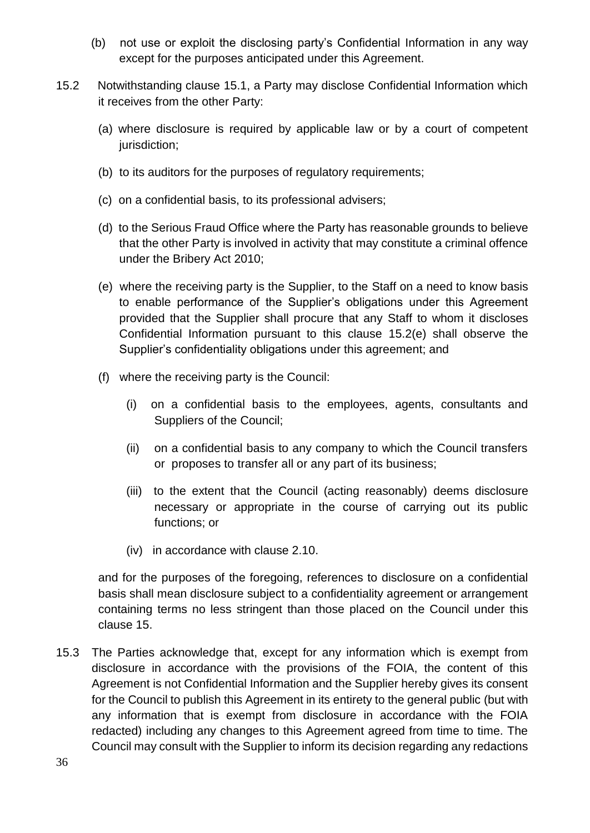- (b) not use or exploit the disclosing party's Confidential Information in any way except for the purposes anticipated under this Agreement.
- 15.2 Notwithstanding clause 15.1, a Party may disclose Confidential Information which it receives from the other Party:
	- (a) where disclosure is required by applicable law or by a court of competent jurisdiction;
	- (b) to its auditors for the purposes of regulatory requirements;
	- (c) on a confidential basis, to its professional advisers;
	- (d) to the Serious Fraud Office where the Party has reasonable grounds to believe that the other Party is involved in activity that may constitute a criminal offence under the Bribery Act 2010;
	- (e) where the receiving party is the Supplier, to the Staff on a need to know basis to enable performance of the Supplier's obligations under this Agreement provided that the Supplier shall procure that any Staff to whom it discloses Confidential Information pursuant to this clause 15.2(e) shall observe the Supplier's confidentiality obligations under this agreement; and
	- (f) where the receiving party is the Council:
		- (i) on a confidential basis to the employees, agents, consultants and Suppliers of the Council;
		- (ii) on a confidential basis to any company to which the Council transfers or proposes to transfer all or any part of its business;
		- (iii) to the extent that the Council (acting reasonably) deems disclosure necessary or appropriate in the course of carrying out its public functions; or
		- (iv) in accordance with clause 2.10.

and for the purposes of the foregoing, references to disclosure on a confidential basis shall mean disclosure subject to a confidentiality agreement or arrangement containing terms no less stringent than those placed on the Council under this clause 15.

15.3 The Parties acknowledge that, except for any information which is exempt from disclosure in accordance with the provisions of the FOIA, the content of this Agreement is not Confidential Information and the Supplier hereby gives its consent for the Council to publish this Agreement in its entirety to the general public (but with any information that is exempt from disclosure in accordance with the FOIA redacted) including any changes to this Agreement agreed from time to time. The Council may consult with the Supplier to inform its decision regarding any redactions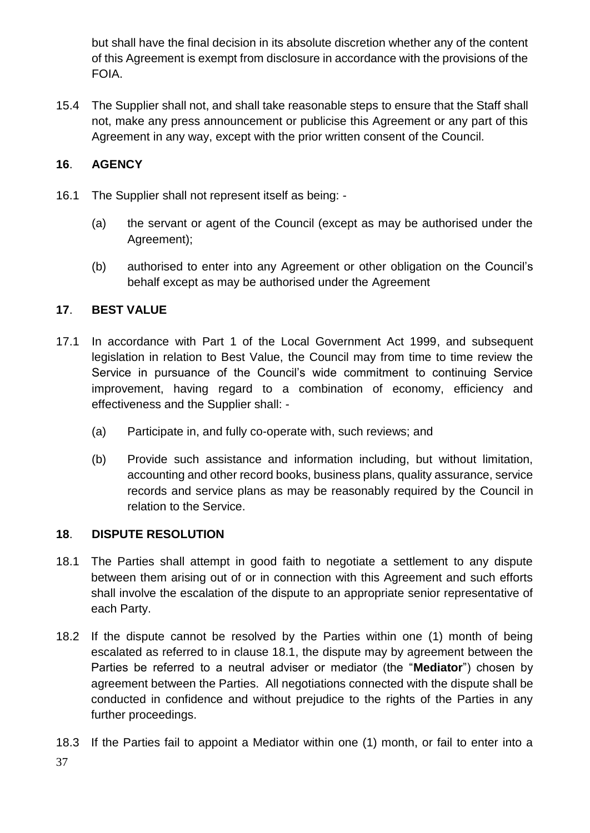but shall have the final decision in its absolute discretion whether any of the content of this Agreement is exempt from disclosure in accordance with the provisions of the FOIA.

15.4 The Supplier shall not, and shall take reasonable steps to ensure that the Staff shall not, make any press announcement or publicise this Agreement or any part of this Agreement in any way, except with the prior written consent of the Council.

## **16**. **AGENCY**

- 16.1 The Supplier shall not represent itself as being:
	- (a) the servant or agent of the Council (except as may be authorised under the Agreement);
	- (b) authorised to enter into any Agreement or other obligation on the Council's behalf except as may be authorised under the Agreement

### **17**. **BEST VALUE**

- 17.1 In accordance with Part 1 of the Local Government Act 1999, and subsequent legislation in relation to Best Value, the Council may from time to time review the Service in pursuance of the Council's wide commitment to continuing Service improvement, having regard to a combination of economy, efficiency and effectiveness and the Supplier shall: -
	- (a) Participate in, and fully co-operate with, such reviews; and
	- (b) Provide such assistance and information including, but without limitation, accounting and other record books, business plans, quality assurance, service records and service plans as may be reasonably required by the Council in relation to the Service.

#### **18**. **DISPUTE RESOLUTION**

- <span id="page-36-0"></span>18.1 The Parties shall attempt in good faith to negotiate a settlement to any dispute between them arising out of or in connection with this Agreement and such efforts shall involve the escalation of the dispute to an appropriate senior representative of each Party.
- 18.2 If the dispute cannot be resolved by the Parties within one (1) month of being escalated as referred to in clause [18.1,](#page-36-0) the dispute may by agreement between the Parties be referred to a neutral adviser or mediator (the "**Mediator**") chosen by agreement between the Parties. All negotiations connected with the dispute shall be conducted in confidence and without prejudice to the rights of the Parties in any further proceedings.
- 18.3 If the Parties fail to appoint a Mediator within one (1) month, or fail to enter into a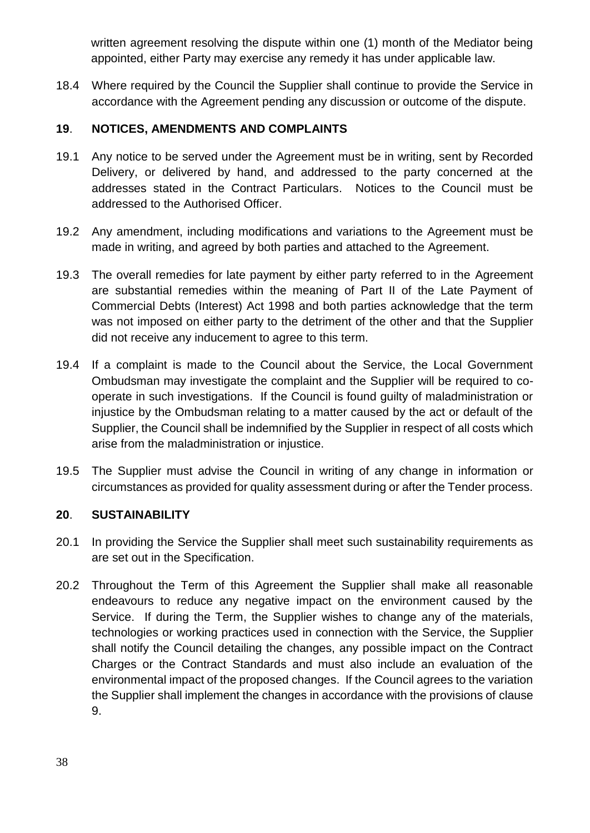written agreement resolving the dispute within one (1) month of the Mediator being appointed, either Party may exercise any remedy it has under applicable law.

18.4 Where required by the Council the Supplier shall continue to provide the Service in accordance with the Agreement pending any discussion or outcome of the dispute.

### **19**. **NOTICES, AMENDMENTS AND COMPLAINTS**

- 19.1 Any notice to be served under the Agreement must be in writing, sent by Recorded Delivery, or delivered by hand, and addressed to the party concerned at the addresses stated in the Contract Particulars. Notices to the Council must be addressed to the Authorised Officer.
- 19.2 Any amendment, including modifications and variations to the Agreement must be made in writing, and agreed by both parties and attached to the Agreement.
- 19.3 The overall remedies for late payment by either party referred to in the Agreement are substantial remedies within the meaning of Part II of the Late Payment of Commercial Debts (Interest) Act 1998 and both parties acknowledge that the term was not imposed on either party to the detriment of the other and that the Supplier did not receive any inducement to agree to this term.
- 19.4 If a complaint is made to the Council about the Service, the Local Government Ombudsman may investigate the complaint and the Supplier will be required to cooperate in such investigations. If the Council is found guilty of maladministration or injustice by the Ombudsman relating to a matter caused by the act or default of the Supplier, the Council shall be indemnified by the Supplier in respect of all costs which arise from the maladministration or injustice.
- 19.5 The Supplier must advise the Council in writing of any change in information or circumstances as provided for quality assessment during or after the Tender process.

### **20**. **SUSTAINABILITY**

- 20.1 In providing the Service the Supplier shall meet such sustainability requirements as are set out in the Specification.
- 20.2 Throughout the Term of this Agreement the Supplier shall make all reasonable endeavours to reduce any negative impact on the environment caused by the Service. If during the Term, the Supplier wishes to change any of the materials, technologies or working practices used in connection with the Service, the Supplier shall notify the Council detailing the changes, any possible impact on the Contract Charges or the Contract Standards and must also include an evaluation of the environmental impact of the proposed changes. If the Council agrees to the variation the Supplier shall implement the changes in accordance with the provisions of clause 9.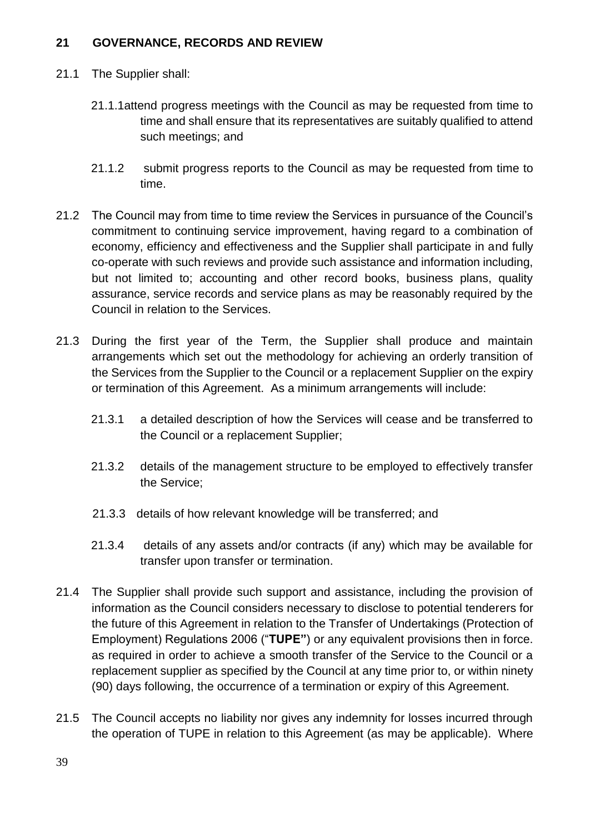### **21 GOVERNANCE, RECORDS AND REVIEW**

- 21.1 The Supplier shall:
	- 21.1.1attend progress meetings with the Council as may be requested from time to time and shall ensure that its representatives are suitably qualified to attend such meetings; and
	- 21.1.2 submit progress reports to the Council as may be requested from time to time.
- 21.2 The Council may from time to time review the Services in pursuance of the Council's commitment to continuing service improvement, having regard to a combination of economy, efficiency and effectiveness and the Supplier shall participate in and fully co-operate with such reviews and provide such assistance and information including, but not limited to; accounting and other record books, business plans, quality assurance, service records and service plans as may be reasonably required by the Council in relation to the Services.
- 21.3 During the first year of the Term, the Supplier shall produce and maintain arrangements which set out the methodology for achieving an orderly transition of the Services from the Supplier to the Council or a replacement Supplier on the expiry or termination of this Agreement. As a minimum arrangements will include:
	- 21.3.1 a detailed description of how the Services will cease and be transferred to the Council or a replacement Supplier;
	- 21.3.2 details of the management structure to be employed to effectively transfer the Service;
	- 21.3.3 details of how relevant knowledge will be transferred; and
	- 21.3.4 details of any assets and/or contracts (if any) which may be available for transfer upon transfer or termination.
- 21.4 The Supplier shall provide such support and assistance, including the provision of information as the Council considers necessary to disclose to potential tenderers for the future of this Agreement in relation to the Transfer of Undertakings (Protection of Employment) Regulations 2006 ("**TUPE"**) or any equivalent provisions then in force. as required in order to achieve a smooth transfer of the Service to the Council or a replacement supplier as specified by the Council at any time prior to, or within ninety (90) days following, the occurrence of a termination or expiry of this Agreement.
- 21.5 The Council accepts no liability nor gives any indemnity for losses incurred through the operation of TUPE in relation to this Agreement (as may be applicable). Where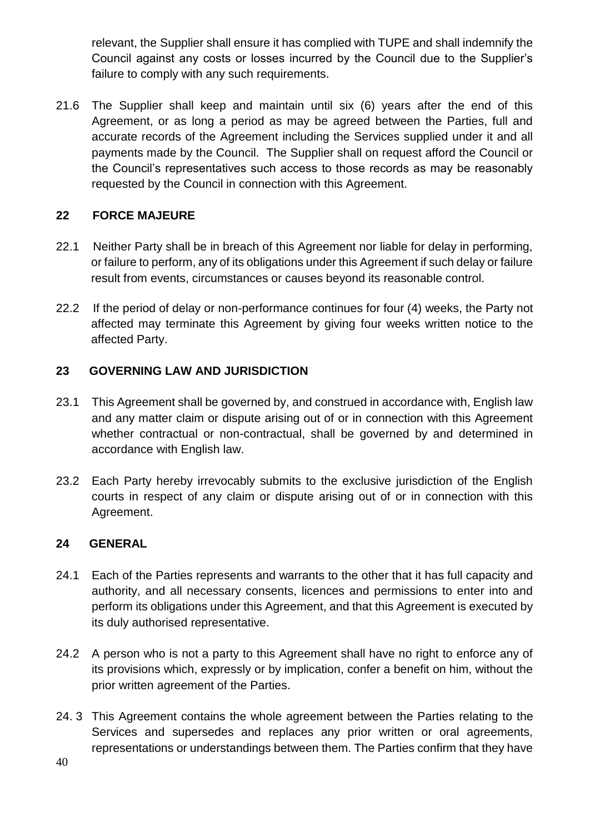relevant, the Supplier shall ensure it has complied with TUPE and shall indemnify the Council against any costs or losses incurred by the Council due to the Supplier's failure to comply with any such requirements.

21.6 The Supplier shall keep and maintain until six (6) years after the end of this Agreement, or as long a period as may be agreed between the Parties, full and accurate records of the Agreement including the Services supplied under it and all payments made by the Council. The Supplier shall on request afford the Council or the Council's representatives such access to those records as may be reasonably requested by the Council in connection with this Agreement.

### **22 FORCE MAJEURE**

- 22.1 Neither Party shall be in breach of this Agreement nor liable for delay in performing, or failure to perform, any of its obligations under this Agreement if such delay or failure result from events, circumstances or causes beyond its reasonable control.
- 22.2 If the period of delay or non-performance continues for four (4) weeks, the Party not affected may terminate this Agreement by giving four weeks written notice to the affected Party.

### **23 GOVERNING LAW AND JURISDICTION**

- 23.1 This Agreement shall be governed by, and construed in accordance with, English law and any matter claim or dispute arising out of or in connection with this Agreement whether contractual or non-contractual, shall be governed by and determined in accordance with English law.
- 23.2 Each Party hereby irrevocably submits to the exclusive jurisdiction of the English courts in respect of any claim or dispute arising out of or in connection with this Agreement.

### **24 GENERAL**

- 24.1 Each of the Parties represents and warrants to the other that it has full capacity and authority, and all necessary consents, licences and permissions to enter into and perform its obligations under this Agreement, and that this Agreement is executed by its duly authorised representative.
- 24.2 A person who is not a party to this Agreement shall have no right to enforce any of its provisions which, expressly or by implication, confer a benefit on him, without the prior written agreement of the Parties.
- 24. 3 This Agreement contains the whole agreement between the Parties relating to the Services and supersedes and replaces any prior written or oral agreements, representations or understandings between them. The Parties confirm that they have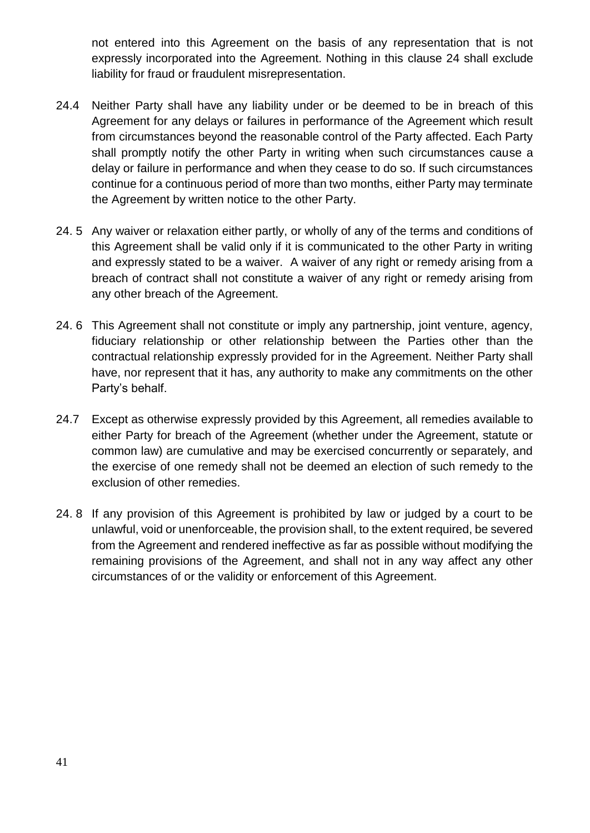not entered into this Agreement on the basis of any representation that is not expressly incorporated into the Agreement. Nothing in this clause 24 shall exclude liability for fraud or fraudulent misrepresentation.

- 24.4 Neither Party shall have any liability under or be deemed to be in breach of this Agreement for any delays or failures in performance of the Agreement which result from circumstances beyond the reasonable control of the Party affected. Each Party shall promptly notify the other Party in writing when such circumstances cause a delay or failure in performance and when they cease to do so. If such circumstances continue for a continuous period of more than two months, either Party may terminate the Agreement by written notice to the other Party.
- 24. 5 Any waiver or relaxation either partly, or wholly of any of the terms and conditions of this Agreement shall be valid only if it is communicated to the other Party in writing and expressly stated to be a waiver. A waiver of any right or remedy arising from a breach of contract shall not constitute a waiver of any right or remedy arising from any other breach of the Agreement.
- 24. 6 This Agreement shall not constitute or imply any partnership, joint venture, agency, fiduciary relationship or other relationship between the Parties other than the contractual relationship expressly provided for in the Agreement. Neither Party shall have, nor represent that it has, any authority to make any commitments on the other Party's behalf.
- 24.7 Except as otherwise expressly provided by this Agreement, all remedies available to either Party for breach of the Agreement (whether under the Agreement, statute or common law) are cumulative and may be exercised concurrently or separately, and the exercise of one remedy shall not be deemed an election of such remedy to the exclusion of other remedies.
- 24. 8 If any provision of this Agreement is prohibited by law or judged by a court to be unlawful, void or unenforceable, the provision shall, to the extent required, be severed from the Agreement and rendered ineffective as far as possible without modifying the remaining provisions of the Agreement, and shall not in any way affect any other circumstances of or the validity or enforcement of this Agreement.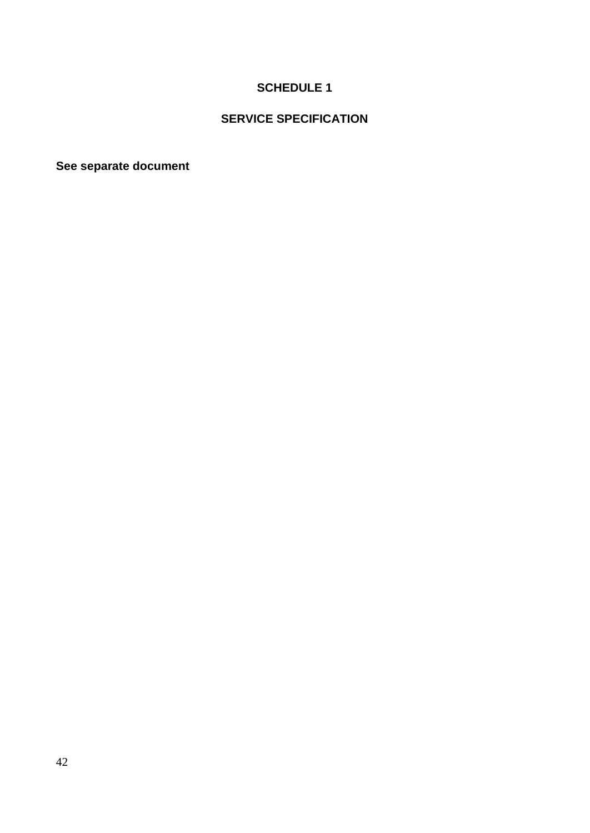## **SCHEDULE 1**

# **SERVICE SPECIFICATION**

**See separate document**